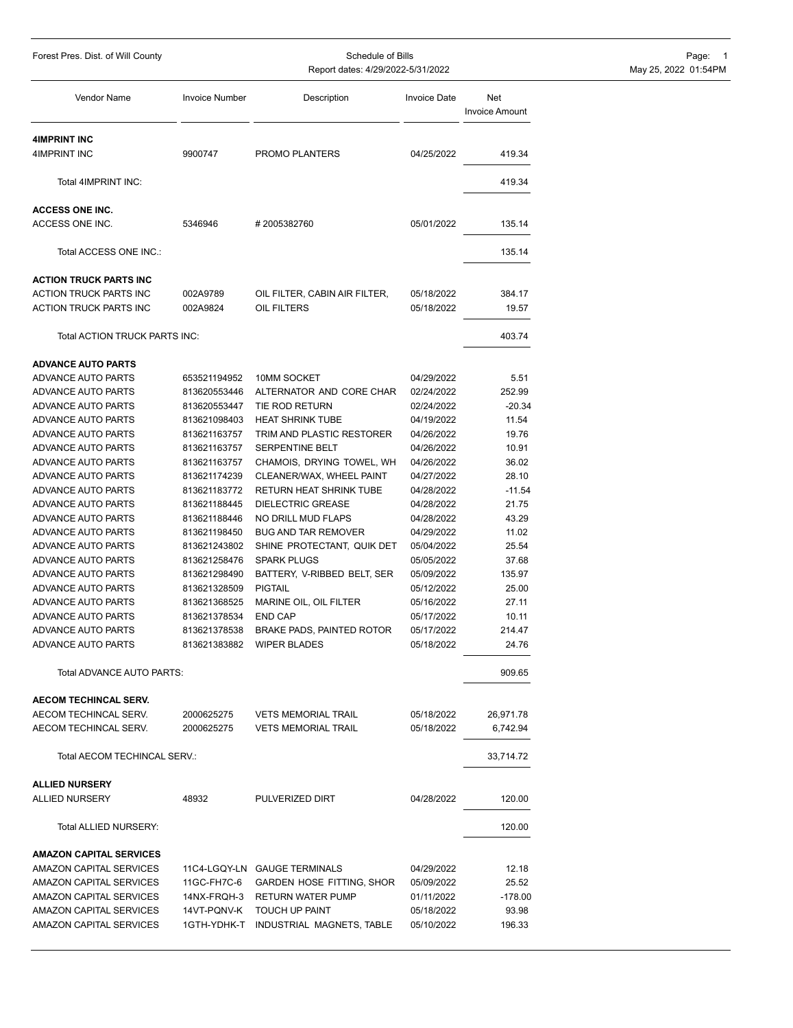| Forest Pres. Dist. of Will County               | Schedule of Bills     |                                       |                     | Page: 1                      |                      |
|-------------------------------------------------|-----------------------|---------------------------------------|---------------------|------------------------------|----------------------|
|                                                 |                       | Report dates: 4/29/2022-5/31/2022     |                     |                              | May 25, 2022 01:54PM |
| Vendor Name                                     | <b>Invoice Number</b> | Description                           | <b>Invoice Date</b> | Net<br><b>Invoice Amount</b> |                      |
| <b>4IMPRINT INC</b>                             |                       |                                       |                     |                              |                      |
| 4IMPRINT INC                                    | 9900747               | PROMO PLANTERS                        | 04/25/2022          | 419.34                       |                      |
| Total 4IMPRINT INC:                             |                       |                                       |                     | 419.34                       |                      |
| <b>ACCESS ONE INC.</b>                          |                       |                                       |                     |                              |                      |
| ACCESS ONE INC.                                 | 5346946               | #2005382760                           | 05/01/2022          | 135.14                       |                      |
| Total ACCESS ONE INC.:                          |                       |                                       |                     | 135.14                       |                      |
| <b>ACTION TRUCK PARTS INC</b>                   |                       |                                       |                     |                              |                      |
| ACTION TRUCK PARTS INC                          | 002A9789              | OIL FILTER, CABIN AIR FILTER,         | 05/18/2022          | 384.17                       |                      |
| ACTION TRUCK PARTS INC                          | 002A9824              | OIL FILTERS                           | 05/18/2022          | 19.57                        |                      |
| Total ACTION TRUCK PARTS INC:                   |                       |                                       |                     | 403.74                       |                      |
|                                                 |                       |                                       |                     |                              |                      |
| <b>ADVANCE AUTO PARTS</b><br>ADVANCE AUTO PARTS | 653521194952          | 10MM SOCKET                           | 04/29/2022          | 5.51                         |                      |
| ADVANCE AUTO PARTS                              | 813620553446          | ALTERNATOR AND CORE CHAR              | 02/24/2022          | 252.99                       |                      |
| ADVANCE AUTO PARTS                              | 813620553447          | TIE ROD RETURN                        | 02/24/2022          | $-20.34$                     |                      |
| ADVANCE AUTO PARTS                              | 813621098403          | <b>HEAT SHRINK TUBE</b>               | 04/19/2022          | 11.54                        |                      |
| ADVANCE AUTO PARTS                              | 813621163757          | TRIM AND PLASTIC RESTORER             | 04/26/2022          | 19.76                        |                      |
| ADVANCE AUTO PARTS                              | 813621163757          | SERPENTINE BELT                       | 04/26/2022          | 10.91                        |                      |
| ADVANCE AUTO PARTS                              | 813621163757          | CHAMOIS, DRYING TOWEL, WH             | 04/26/2022          | 36.02                        |                      |
| ADVANCE AUTO PARTS                              | 813621174239          | CLEANER/WAX, WHEEL PAINT              | 04/27/2022          | 28.10                        |                      |
| ADVANCE AUTO PARTS                              | 813621183772          | RETURN HEAT SHRINK TUBE               | 04/28/2022          | $-11.54$                     |                      |
| ADVANCE AUTO PARTS                              | 813621188445          | <b>DIELECTRIC GREASE</b>              | 04/28/2022          | 21.75                        |                      |
| ADVANCE AUTO PARTS                              | 813621188446          | NO DRILL MUD FLAPS                    | 04/28/2022          | 43.29                        |                      |
| ADVANCE AUTO PARTS                              | 813621198450          | <b>BUG AND TAR REMOVER</b>            | 04/29/2022          | 11.02                        |                      |
| ADVANCE AUTO PARTS                              | 813621243802          | SHINE PROTECTANT, QUIK DET            | 05/04/2022          | 25.54                        |                      |
| ADVANCE AUTO PARTS                              | 813621258476          | <b>SPARK PLUGS</b>                    | 05/05/2022          | 37.68                        |                      |
| ADVANCE AUTO PARTS                              | 813621298490          | BATTERY, V-RIBBED BELT, SER           | 05/09/2022          | 135.97                       |                      |
| ADVANCE AUTO PARTS                              | 813621328509          | <b>PIGTAIL</b>                        | 05/12/2022          | 25.00                        |                      |
| ADVANCE AUTO PARTS                              | 813621368525          | MARINE OIL, OIL FILTER                | 05/16/2022          | 27.11                        |                      |
| ADVANCE AUTO PARTS                              | 813621378534          | <b>END CAP</b>                        | 05/17/2022          | 10.11                        |                      |
| ADVANCE AUTO PARTS                              | 813621378538          | <b>BRAKE PADS, PAINTED ROTOR</b>      | 05/17/2022          | 214.47                       |                      |
| ADVANCE AUTO PARTS                              |                       | 813621383882 WIPER BLADES             | 05/18/2022          | 24.76                        |                      |
| Total ADVANCE AUTO PARTS:                       |                       |                                       |                     | 909.65                       |                      |
| <b>AECOM TECHINCAL SERV.</b>                    |                       |                                       |                     |                              |                      |
| AECOM TECHINCAL SERV.                           | 2000625275            | <b>VETS MEMORIAL TRAIL</b>            | 05/18/2022          | 26,971.78                    |                      |
| AECOM TECHINCAL SERV.                           | 2000625275            | <b>VETS MEMORIAL TRAIL</b>            | 05/18/2022          | 6,742.94                     |                      |
| Total AECOM TECHINCAL SERV.:                    |                       |                                       |                     | 33,714.72                    |                      |
| <b>ALLIED NURSERY</b>                           |                       |                                       |                     |                              |                      |
| <b>ALLIED NURSERY</b>                           | 48932                 | PULVERIZED DIRT                       | 04/28/2022          | 120.00                       |                      |
| Total ALLIED NURSERY:                           |                       |                                       |                     | 120.00                       |                      |
| <b>AMAZON CAPITAL SERVICES</b>                  |                       |                                       |                     |                              |                      |
| AMAZON CAPITAL SERVICES                         |                       | 11C4-LGQY-LN GAUGE TERMINALS          | 04/29/2022          | 12.18                        |                      |
| AMAZON CAPITAL SERVICES                         | 11GC-FH7C-6           | GARDEN HOSE FITTING, SHOR             | 05/09/2022          | 25.52                        |                      |
| AMAZON CAPITAL SERVICES                         | 14NX-FRQH-3           | RETURN WATER PUMP                     | 01/11/2022          | $-178.00$                    |                      |
| AMAZON CAPITAL SERVICES                         | 14VT-PQNV-K           | TOUCH UP PAINT                        | 05/18/2022          | 93.98                        |                      |
| <b>AMAZON CAPITAL SERVICES</b>                  |                       | 1GTH-YDHK-T INDUSTRIAL MAGNETS, TABLE | 05/10/2022          | 196.33                       |                      |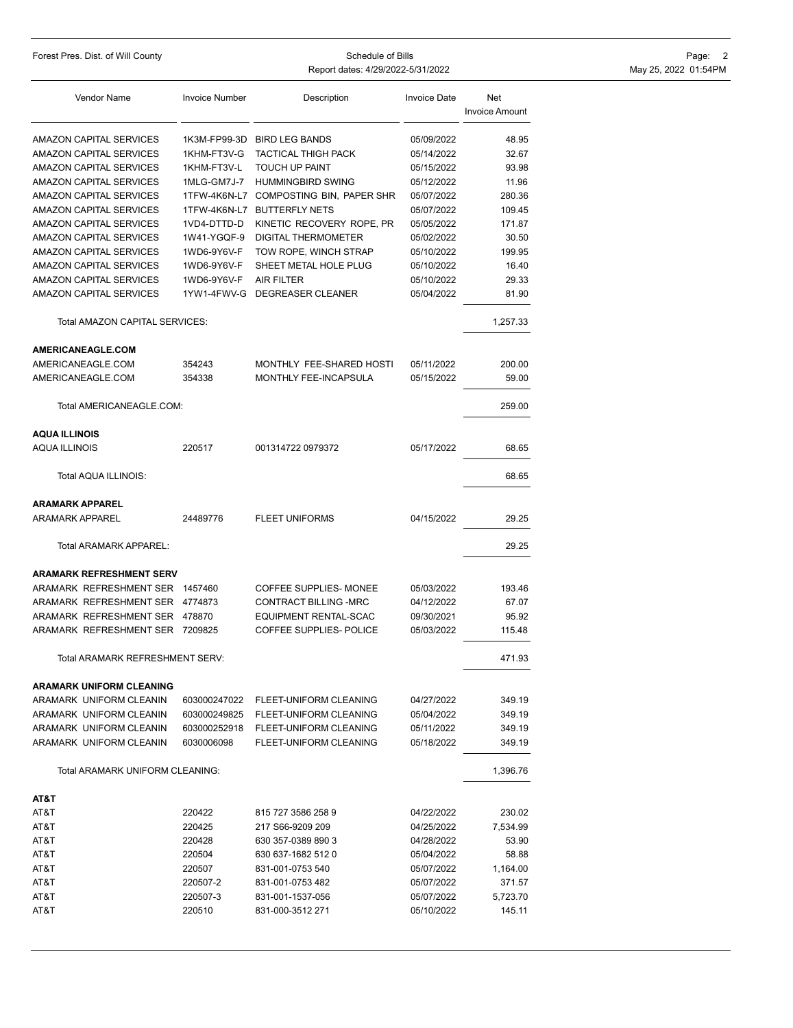| Vendor Name                                      | <b>Invoice Number</b> | Description                            | <b>Invoice Date</b> | <b>Net</b><br><b>Invoice Amount</b> |
|--------------------------------------------------|-----------------------|----------------------------------------|---------------------|-------------------------------------|
| AMAZON CAPITAL SERVICES                          | 1K3M-FP99-3D          | <b>BIRD LEG BANDS</b>                  | 05/09/2022          | 48.95                               |
| AMAZON CAPITAL SERVICES                          | 1KHM-FT3V-G           | <b>TACTICAL THIGH PACK</b>             | 05/14/2022          | 32.67                               |
| AMAZON CAPITAL SERVICES                          | 1KHM-FT3V-L           | <b>TOUCH UP PAINT</b>                  | 05/15/2022          | 93.98                               |
| AMAZON CAPITAL SERVICES                          | 1MLG-GM7J-7           | <b>HUMMINGBIRD SWING</b>               | 05/12/2022          | 11.96                               |
| AMAZON CAPITAL SERVICES                          |                       | 1TFW-4K6N-L7 COMPOSTING BIN, PAPER SHR | 05/07/2022          | 280.36                              |
| AMAZON CAPITAL SERVICES                          | 1TFW-4K6N-L7          | <b>BUTTERFLY NETS</b>                  | 05/07/2022          | 109.45                              |
| AMAZON CAPITAL SERVICES                          | 1VD4-DTTD-D           | KINETIC RECOVERY ROPE, PR              | 05/05/2022          | 171.87                              |
| AMAZON CAPITAL SERVICES                          | 1W41-YGQF-9           | DIGITAL THERMOMETER                    | 05/02/2022          | 30.50                               |
| AMAZON CAPITAL SERVICES                          | 1WD6-9Y6V-F           | TOW ROPE, WINCH STRAP                  | 05/10/2022          | 199.95                              |
| AMAZON CAPITAL SERVICES                          | 1WD6-9Y6V-F           | SHEET METAL HOLE PLUG                  | 05/10/2022          | 16.40                               |
| AMAZON CAPITAL SERVICES                          | 1WD6-9Y6V-F           | AIR FILTER                             | 05/10/2022          | 29.33                               |
| AMAZON CAPITAL SERVICES                          |                       | 1YW1-4FWV-G DEGREASER CLEANER          | 05/04/2022          | 81.90                               |
| Total AMAZON CAPITAL SERVICES:                   |                       |                                        |                     | 1,257.33                            |
| AMERICANEAGLE.COM                                |                       |                                        |                     |                                     |
| AMERICANEAGLE.COM                                | 354243                | MONTHLY FEE-SHARED HOSTI               | 05/11/2022          | 200.00                              |
| AMERICANEAGLE.COM                                | 354338                | MONTHLY FEE-INCAPSULA                  | 05/15/2022          | 59.00                               |
| Total AMERICANEAGLE.COM:                         |                       |                                        |                     | 259.00                              |
| <b>AQUA ILLINOIS</b>                             |                       |                                        |                     |                                     |
| AQUA ILLINOIS                                    | 220517                | 001314722 0979372                      | 05/17/2022          | 68.65                               |
| Total AQUA ILLINOIS:                             |                       |                                        |                     | 68.65                               |
| <b>ARAMARK APPAREL</b><br><b>ARAMARK APPAREL</b> | 24489776              | <b>FLEET UNIFORMS</b>                  | 04/15/2022          | 29.25                               |
| Total ARAMARK APPAREL:                           |                       |                                        |                     | 29.25                               |
| <b>ARAMARK REFRESHMENT SERV</b>                  |                       |                                        |                     |                                     |
| ARAMARK REFRESHMENT SER 1457460                  |                       | <b>COFFEE SUPPLIES- MONEE</b>          | 05/03/2022          | 193.46                              |
| ARAMARK REFRESHMENT SER 4774873                  |                       | CONTRACT BILLING -MRC                  | 04/12/2022          | 67.07                               |
| ARAMARK REFRESHMENT SER 478870                   |                       | EQUIPMENT RENTAL-SCAC                  | 09/30/2021          | 95.92                               |
| ARAMARK REFRESHMENT SER 7209825                  |                       | COFFEE SUPPLIES- POLICE                | 05/03/2022          | 115.48                              |
| Total ARAMARK REFRESHMENT SERV:                  |                       |                                        |                     | 471.93                              |
| <b>ARAMARK UNIFORM CLEANING</b>                  |                       |                                        |                     |                                     |
| ARAMARK UNIFORM CLEANIN                          | 603000247022          | FLEET-UNIFORM CLEANING                 | 04/27/2022          | 349.19                              |
| ARAMARK UNIFORM CLEANIN                          | 603000249825          | FLEET-UNIFORM CLEANING                 | 05/04/2022          | 349.19                              |
| ARAMARK UNIFORM CLEANIN                          | 603000252918          | FLEET-UNIFORM CLEANING                 | 05/11/2022          | 349.19                              |
| ARAMARK UNIFORM CLEANIN                          | 6030006098            | FLEET-UNIFORM CLEANING                 | 05/18/2022          | 349.19                              |
| Total ARAMARK UNIFORM CLEANING:                  |                       |                                        |                     | 1,396.76                            |
| AT&T                                             |                       |                                        |                     |                                     |
| AT&T                                             | 220422                | 815 727 3586 258 9                     | 04/22/2022          | 230.02                              |
| AT&T                                             | 220425                | 217 S66-9209 209                       | 04/25/2022          | 7,534.99                            |
| AT&T                                             | 220428                | 630 357-0389 890 3                     | 04/28/2022          | 53.90                               |
| AT&T                                             | 220504                | 630 637-1682 512 0                     | 05/04/2022          | 58.88                               |
| AT&T                                             | 220507                | 831-001-0753 540                       | 05/07/2022          | 1,164.00                            |
| AT&T                                             | 220507-2              | 831-001-0753 482                       | 05/07/2022          | 371.57                              |
| AT&T                                             | 220507-3              | 831-001-1537-056                       | 05/07/2022          | 5,723.70                            |
| AT&T                                             | 220510                | 831-000-3512 271                       | 05/10/2022          | 145.11                              |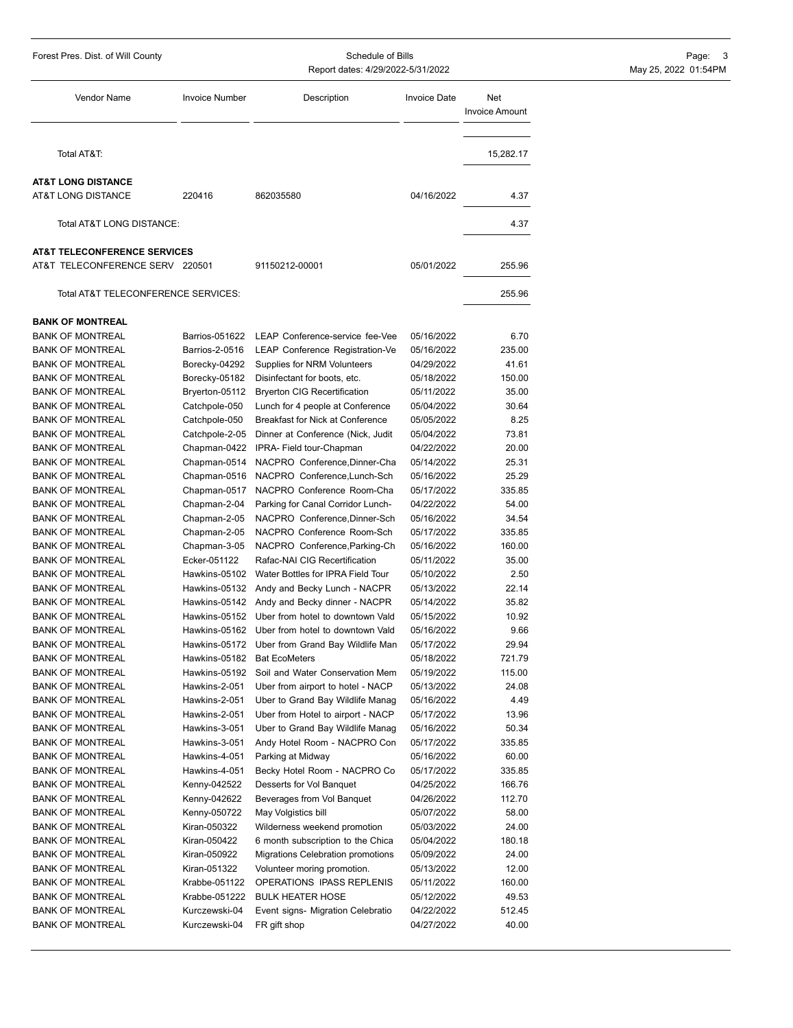| Forest Pres. Dist. of Will County                  | Schedule of Bills<br>Report dates: 4/29/2022-5/31/2022 |                                                                                           |                          | Page: 3<br>May 25, 2022 01:54PM |  |
|----------------------------------------------------|--------------------------------------------------------|-------------------------------------------------------------------------------------------|--------------------------|---------------------------------|--|
| Vendor Name                                        | <b>Invoice Number</b>                                  | Description                                                                               | <b>Invoice Date</b>      | Net<br><b>Invoice Amount</b>    |  |
| Total AT&T:                                        |                                                        |                                                                                           |                          | 15,282.17                       |  |
| <b>AT&amp;T LONG DISTANCE</b>                      |                                                        |                                                                                           |                          |                                 |  |
| AT&T LONG DISTANCE                                 | 220416                                                 | 862035580                                                                                 | 04/16/2022               | 4.37                            |  |
|                                                    |                                                        |                                                                                           |                          |                                 |  |
| Total AT&T LONG DISTANCE:                          |                                                        |                                                                                           |                          | 4.37                            |  |
| <b>AT&amp;T TELECONFERENCE SERVICES</b>            |                                                        |                                                                                           |                          |                                 |  |
| AT&T TELECONFERENCE SERV 220501                    |                                                        | 91150212-00001                                                                            | 05/01/2022               | 255.96                          |  |
| Total AT&T TELECONFERENCE SERVICES:                |                                                        |                                                                                           |                          | 255.96                          |  |
|                                                    |                                                        |                                                                                           |                          |                                 |  |
| <b>BANK OF MONTREAL</b>                            |                                                        |                                                                                           |                          |                                 |  |
| <b>BANK OF MONTREAL</b>                            | Barrios-051622                                         | LEAP Conference-service fee-Vee                                                           | 05/16/2022               | 6.70                            |  |
| <b>BANK OF MONTREAL</b>                            | Barrios-2-0516                                         | LEAP Conference Registration-Ve                                                           | 05/16/2022               | 235.00                          |  |
| <b>BANK OF MONTREAL</b>                            | Borecky-04292                                          | Supplies for NRM Volunteers                                                               | 04/29/2022               | 41.61                           |  |
| <b>BANK OF MONTREAL</b>                            | Borecky-05182                                          | Disinfectant for boots, etc.                                                              | 05/18/2022               | 150.00                          |  |
| <b>BANK OF MONTREAL</b>                            | Bryerton-05112                                         | <b>Bryerton CIG Recertification</b>                                                       | 05/11/2022               | 35.00                           |  |
| <b>BANK OF MONTREAL</b>                            | Catchpole-050                                          | Lunch for 4 people at Conference                                                          | 05/04/2022               | 30.64                           |  |
| <b>BANK OF MONTREAL</b>                            | Catchpole-050                                          | Breakfast for Nick at Conference                                                          | 05/05/2022               | 8.25                            |  |
| <b>BANK OF MONTREAL</b>                            | Catchpole-2-05                                         | Dinner at Conference (Nick, Judit                                                         | 05/04/2022               | 73.81                           |  |
| <b>BANK OF MONTREAL</b>                            | Chapman-0422                                           | IPRA- Field tour-Chapman                                                                  | 04/22/2022               | 20.00                           |  |
| <b>BANK OF MONTREAL</b>                            |                                                        | Chapman-0514 NACPRO Conference, Dinner-Cha                                                | 05/14/2022               | 25.31                           |  |
| <b>BANK OF MONTREAL</b>                            |                                                        | Chapman-0516 NACPRO Conference, Lunch-Sch                                                 | 05/16/2022               | 25.29                           |  |
| <b>BANK OF MONTREAL</b>                            | Chapman-0517                                           | NACPRO Conference Room-Cha                                                                | 05/17/2022               | 335.85                          |  |
| <b>BANK OF MONTREAL</b>                            | Chapman-2-04                                           | Parking for Canal Corridor Lunch-                                                         | 04/22/2022               | 54.00                           |  |
| <b>BANK OF MONTREAL</b>                            | Chapman-2-05                                           | NACPRO Conference, Dinner-Sch                                                             | 05/16/2022               | 34.54                           |  |
| <b>BANK OF MONTREAL</b>                            | Chapman-2-05                                           | NACPRO Conference Room-Sch                                                                | 05/17/2022               | 335.85                          |  |
| <b>BANK OF MONTREAL</b>                            | Chapman-3-05<br>Ecker-051122                           | NACPRO Conference, Parking-Ch<br>Rafac-NAI CIG Recertification                            | 05/16/2022               | 160.00<br>35.00                 |  |
| <b>BANK OF MONTREAL</b>                            | Hawkins-05102                                          | Water Bottles for IPRA Field Tour                                                         | 05/11/2022               | 2.50                            |  |
| <b>BANK OF MONTREAL</b>                            |                                                        |                                                                                           | 05/10/2022               |                                 |  |
| <b>BANK OF MONTREAL</b>                            |                                                        | Hawkins-05132 Andy and Becky Lunch - NACPR<br>Hawkins-05142 Andy and Becky dinner - NACPR | 05/13/2022               | 22.14                           |  |
| <b>BANK OF MONTREAL</b>                            |                                                        | Hawkins-05152 Uber from hotel to downtown Vald                                            | 05/14/2022<br>05/15/2022 | 35.82                           |  |
| <b>BANK OF MONTREAL</b>                            |                                                        |                                                                                           |                          | 10.92                           |  |
| <b>BANK OF MONTREAL</b><br><b>BANK OF MONTREAL</b> | Hawkins-05162                                          | Uber from hotel to downtown Vald                                                          | 05/16/2022<br>05/17/2022 | 9.66<br>29.94                   |  |
| <b>BANK OF MONTREAL</b>                            |                                                        | Hawkins-05172 Uber from Grand Bay Wildlife Man                                            |                          | 721.79                          |  |
|                                                    | Hawkins-05182<br>Hawkins-05192                         | <b>Bat EcoMeters</b><br>Soil and Water Conservation Mem                                   | 05/18/2022<br>05/19/2022 | 115.00                          |  |
| <b>BANK OF MONTREAL</b>                            |                                                        | Uber from airport to hotel - NACP                                                         |                          | 24.08                           |  |
| BANK OF MONTREAL<br><b>BANK OF MONTREAL</b>        | Hawkins-2-051<br>Hawkins-2-051                         |                                                                                           | 05/13/2022               | 4.49                            |  |
| <b>BANK OF MONTREAL</b>                            | Hawkins-2-051                                          | Uber to Grand Bay Wildlife Manag<br>Uber from Hotel to airport - NACP                     | 05/16/2022<br>05/17/2022 | 13.96                           |  |
| <b>BANK OF MONTREAL</b>                            | Hawkins-3-051                                          | Uber to Grand Bay Wildlife Manag                                                          | 05/16/2022               | 50.34                           |  |
| <b>BANK OF MONTREAL</b>                            | Hawkins-3-051                                          | Andy Hotel Room - NACPRO Con                                                              | 05/17/2022               | 335.85                          |  |
| <b>BANK OF MONTREAL</b>                            | Hawkins-4-051                                          | Parking at Midway                                                                         | 05/16/2022               | 60.00                           |  |
| <b>BANK OF MONTREAL</b>                            | Hawkins-4-051                                          | Becky Hotel Room - NACPRO Co                                                              | 05/17/2022               | 335.85                          |  |
| <b>BANK OF MONTREAL</b>                            | Kenny-042522                                           | Desserts for Vol Banquet                                                                  | 04/25/2022               | 166.76                          |  |
| <b>BANK OF MONTREAL</b>                            | Kenny-042622                                           | Beverages from Vol Banquet                                                                | 04/26/2022               | 112.70                          |  |
| <b>BANK OF MONTREAL</b>                            | Kenny-050722                                           | May Volgistics bill                                                                       | 05/07/2022               | 58.00                           |  |
| BANK OF MONTREAL                                   | Kiran-050322                                           | Wilderness weekend promotion                                                              | 05/03/2022               | 24.00                           |  |
| <b>BANK OF MONTREAL</b>                            | Kiran-050422                                           | 6 month subscription to the Chica                                                         | 05/04/2022               | 180.18                          |  |
| <b>BANK OF MONTREAL</b>                            | Kiran-050922                                           | Migrations Celebration promotions                                                         | 05/09/2022               | 24.00                           |  |
| <b>BANK OF MONTREAL</b>                            | Kiran-051322                                           | Volunteer moring promotion.                                                               | 05/13/2022               | 12.00                           |  |
| <b>BANK OF MONTREAL</b>                            | Krabbe-051122                                          | OPERATIONS IPASS REPLENIS                                                                 | 05/11/2022               | 160.00                          |  |
| <b>BANK OF MONTREAL</b>                            | Krabbe-051222                                          | <b>BULK HEATER HOSE</b>                                                                   | 05/12/2022               | 49.53                           |  |
| <b>BANK OF MONTREAL</b>                            | Kurczewski-04                                          | Event signs- Migration Celebratio                                                         | 04/22/2022               | 512.45                          |  |
| <b>BANK OF MONTREAL</b>                            | Kurczewski-04                                          | FR gift shop                                                                              | 04/27/2022               | 40.00                           |  |
|                                                    |                                                        |                                                                                           |                          |                                 |  |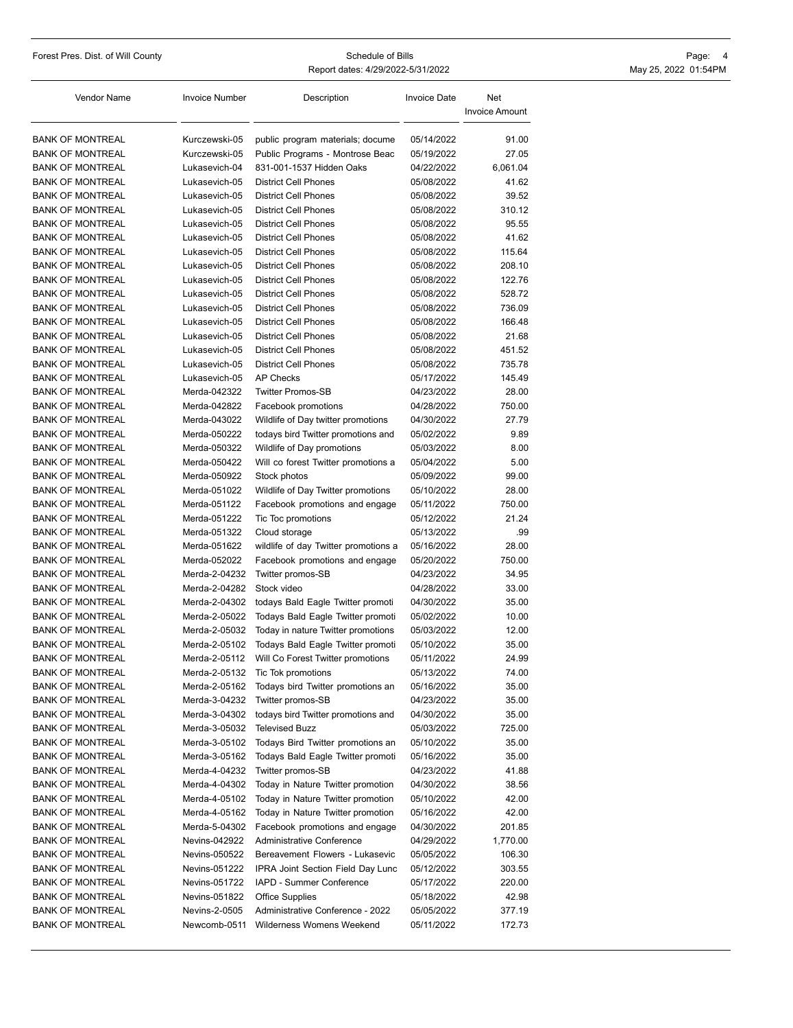Report dates: 4/29/2022-5/31/2022 May 25, 2022 01:54PM

Forest Pres. Dist. of Will County **Schedule of Bills** Schedule of Bills **Page: 4** 

| Vendor Name             | <b>Invoice Number</b> | Description                          | <b>Invoice Date</b> | Net<br><b>Invoice Amount</b> |
|-------------------------|-----------------------|--------------------------------------|---------------------|------------------------------|
| <b>BANK OF MONTREAL</b> | Kurczewski-05         | public program materials; docume     | 05/14/2022          | 91.00                        |
| <b>BANK OF MONTREAL</b> | Kurczewski-05         | Public Programs - Montrose Beac      | 05/19/2022          | 27.05                        |
| <b>BANK OF MONTREAL</b> | Lukasevich-04         | 831-001-1537 Hidden Oaks             | 04/22/2022          | 6,061.04                     |
| <b>BANK OF MONTREAL</b> | Lukasevich-05         | <b>District Cell Phones</b>          | 05/08/2022          | 41.62                        |
| <b>BANK OF MONTREAL</b> | Lukasevich-05         | <b>District Cell Phones</b>          | 05/08/2022          | 39.52                        |
| <b>BANK OF MONTREAL</b> | Lukasevich-05         | <b>District Cell Phones</b>          | 05/08/2022          | 310.12                       |
| <b>BANK OF MONTREAL</b> | Lukasevich-05         | <b>District Cell Phones</b>          | 05/08/2022          | 95.55                        |
| <b>BANK OF MONTREAL</b> | Lukasevich-05         | <b>District Cell Phones</b>          | 05/08/2022          | 41.62                        |
| <b>BANK OF MONTREAL</b> | Lukasevich-05         | <b>District Cell Phones</b>          | 05/08/2022          | 115.64                       |
| <b>BANK OF MONTREAL</b> | Lukasevich-05         | <b>District Cell Phones</b>          | 05/08/2022          | 208.10                       |
| <b>BANK OF MONTREAL</b> | Lukasevich-05         | <b>District Cell Phones</b>          | 05/08/2022          | 122.76                       |
| <b>BANK OF MONTREAL</b> | Lukasevich-05         | <b>District Cell Phones</b>          | 05/08/2022          | 528.72                       |
| <b>BANK OF MONTREAL</b> | Lukasevich-05         | <b>District Cell Phones</b>          | 05/08/2022          | 736.09                       |
| <b>BANK OF MONTREAL</b> | Lukasevich-05         | <b>District Cell Phones</b>          | 05/08/2022          | 166.48                       |
| <b>BANK OF MONTREAL</b> | Lukasevich-05         | <b>District Cell Phones</b>          | 05/08/2022          | 21.68                        |
| <b>BANK OF MONTREAL</b> | Lukasevich-05         | <b>District Cell Phones</b>          | 05/08/2022          | 451.52                       |
| <b>BANK OF MONTREAL</b> | Lukasevich-05         | <b>District Cell Phones</b>          | 05/08/2022          | 735.78                       |
| <b>BANK OF MONTREAL</b> | Lukasevich-05         | <b>AP Checks</b>                     | 05/17/2022          | 145.49                       |
| <b>BANK OF MONTREAL</b> | Merda-042322          | <b>Twitter Promos-SB</b>             | 04/23/2022          | 28.00                        |
| <b>BANK OF MONTREAL</b> | Merda-042822          | Facebook promotions                  | 04/28/2022          | 750.00                       |
| <b>BANK OF MONTREAL</b> | Merda-043022          | Wildlife of Day twitter promotions   | 04/30/2022          | 27.79                        |
| <b>BANK OF MONTREAL</b> | Merda-050222          | todays bird Twitter promotions and   | 05/02/2022          | 9.89                         |
| <b>BANK OF MONTREAL</b> | Merda-050322          | Wildlife of Day promotions           | 05/03/2022          | 8.00                         |
| <b>BANK OF MONTREAL</b> | Merda-050422          | Will co forest Twitter promotions a  | 05/04/2022          | 5.00                         |
| <b>BANK OF MONTREAL</b> | Merda-050922          | Stock photos                         | 05/09/2022          | 99.00                        |
| <b>BANK OF MONTREAL</b> | Merda-051022          | Wildlife of Day Twitter promotions   | 05/10/2022          | 28.00                        |
| <b>BANK OF MONTREAL</b> | Merda-051122          | Facebook promotions and engage       | 05/11/2022          | 750.00                       |
| <b>BANK OF MONTREAL</b> | Merda-051222          | Tic Toc promotions                   | 05/12/2022          | 21.24                        |
| <b>BANK OF MONTREAL</b> | Merda-051322          | Cloud storage                        | 05/13/2022          | .99                          |
| <b>BANK OF MONTREAL</b> | Merda-051622          | wildlife of day Twitter promotions a | 05/16/2022          | 28.00                        |
| <b>BANK OF MONTREAL</b> | Merda-052022          | Facebook promotions and engage       | 05/20/2022          | 750.00                       |
| <b>BANK OF MONTREAL</b> | Merda-2-04232         | Twitter promos-SB                    | 04/23/2022          | 34.95                        |
| <b>BANK OF MONTREAL</b> | Merda-2-04282         | Stock video                          | 04/28/2022          | 33.00                        |
| <b>BANK OF MONTREAL</b> | Merda-2-04302         | todays Bald Eagle Twitter promoti    | 04/30/2022          | 35.00                        |
| <b>BANK OF MONTREAL</b> | Merda-2-05022         | Todays Bald Eagle Twitter promoti    | 05/02/2022          | 10.00                        |
| <b>BANK OF MONTREAL</b> | Merda-2-05032         | Today in nature Twitter promotions   | 05/03/2022          | 12.00                        |
| <b>BANK OF MONTREAL</b> | Merda-2-05102         | Todays Bald Eagle Twitter promoti    | 05/10/2022          | 35.00                        |
| <b>BANK OF MONTREAL</b> | Merda-2-05112         | Will Co Forest Twitter promotions    | 05/11/2022          | 24.99                        |
| <b>BANK OF MONTREAL</b> | Merda-2-05132         | Tic Tok promotions                   | 05/13/2022          | 74.00                        |
| <b>BANK OF MONTREAL</b> | Merda-2-05162         | Todays bird Twitter promotions an    | 05/16/2022          | 35.00                        |
| <b>BANK OF MONTREAL</b> | Merda-3-04232         | Twitter promos-SB                    | 04/23/2022          | 35.00                        |
| <b>BANK OF MONTREAL</b> | Merda-3-04302         | todays bird Twitter promotions and   | 04/30/2022          | 35.00                        |
| <b>BANK OF MONTREAL</b> | Merda-3-05032         | <b>Televised Buzz</b>                | 05/03/2022          | 725.00                       |
| <b>BANK OF MONTREAL</b> | Merda-3-05102         | Todays Bird Twitter promotions an    | 05/10/2022          | 35.00                        |
| <b>BANK OF MONTREAL</b> | Merda-3-05162         | Todays Bald Eagle Twitter promoti    | 05/16/2022          | 35.00                        |
| <b>BANK OF MONTREAL</b> | Merda-4-04232         | Twitter promos-SB                    | 04/23/2022          | 41.88                        |
| <b>BANK OF MONTREAL</b> | Merda-4-04302         | Today in Nature Twitter promotion    | 04/30/2022          | 38.56                        |
| <b>BANK OF MONTREAL</b> | Merda-4-05102         | Today in Nature Twitter promotion    | 05/10/2022          | 42.00                        |
| <b>BANK OF MONTREAL</b> | Merda-4-05162         | Today in Nature Twitter promotion    | 05/16/2022          | 42.00                        |
| <b>BANK OF MONTREAL</b> | Merda-5-04302         | Facebook promotions and engage       | 04/30/2022          | 201.85                       |
| <b>BANK OF MONTREAL</b> | Nevins-042922         | <b>Administrative Conference</b>     | 04/29/2022          | 1,770.00                     |
| <b>BANK OF MONTREAL</b> | Nevins-050522         | Bereavement Flowers - Lukasevic      | 05/05/2022          | 106.30                       |
| <b>BANK OF MONTREAL</b> | Nevins-051222         | IPRA Joint Section Field Day Lunc    | 05/12/2022          | 303.55                       |
| <b>BANK OF MONTREAL</b> | Nevins-051722         | IAPD - Summer Conference             | 05/17/2022          | 220.00                       |
| <b>BANK OF MONTREAL</b> | Nevins-051822         | <b>Office Supplies</b>               | 05/18/2022          | 42.98                        |
| <b>BANK OF MONTREAL</b> | Nevins-2-0505         | Administrative Conference - 2022     | 05/05/2022          | 377.19                       |
| <b>BANK OF MONTREAL</b> | Newcomb-0511          | Wilderness Womens Weekend            | 05/11/2022          | 172.73                       |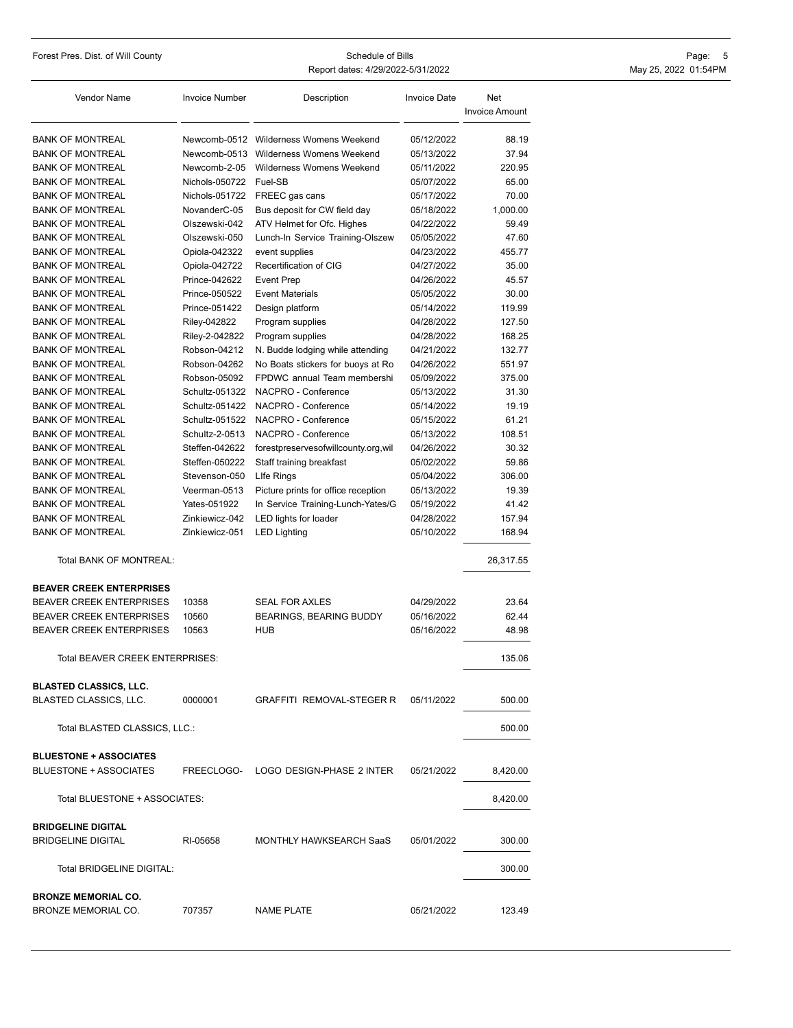Forest Pres. Dist. of Will County **Schedule of Bills** Schedule of Bills **Page: 5** Report dates: 4/29/2022-5/31/2022 May 25, 2022 01:54PM

| Vendor Name                                                    | <b>Invoice Number</b> | Description                            | <b>Invoice Date</b> | Net                   |
|----------------------------------------------------------------|-----------------------|----------------------------------------|---------------------|-----------------------|
|                                                                |                       |                                        |                     | <b>Invoice Amount</b> |
| <b>BANK OF MONTREAL</b>                                        |                       | Newcomb-0512 Wilderness Womens Weekend | 05/12/2022          | 88.19                 |
| <b>BANK OF MONTREAL</b>                                        | Newcomb-0513          | Wilderness Womens Weekend              | 05/13/2022          | 37.94                 |
| <b>BANK OF MONTREAL</b>                                        | Newcomb-2-05          | Wilderness Womens Weekend              | 05/11/2022          | 220.95                |
| <b>BANK OF MONTREAL</b>                                        | Nichols-050722        | Fuel-SB                                | 05/07/2022          | 65.00                 |
| <b>BANK OF MONTREAL</b>                                        | Nichols-051722        | FREEC gas cans                         | 05/17/2022          | 70.00                 |
| <b>BANK OF MONTREAL</b>                                        | NovanderC-05          | Bus deposit for CW field day           | 05/18/2022          | 1,000.00              |
| <b>BANK OF MONTREAL</b>                                        | Olszewski-042         | ATV Helmet for Ofc. Highes             | 04/22/2022          | 59.49                 |
| <b>BANK OF MONTREAL</b>                                        | Olszewski-050         | Lunch-In Service Training-Olszew       | 05/05/2022          | 47.60                 |
| <b>BANK OF MONTREAL</b>                                        | Opiola-042322         | event supplies                         | 04/23/2022          | 455.77                |
| <b>BANK OF MONTREAL</b>                                        | Opiola-042722         | Recertification of CIG                 | 04/27/2022          | 35.00                 |
| <b>BANK OF MONTREAL</b>                                        | Prince-042622         | <b>Event Prep</b>                      | 04/26/2022          | 45.57                 |
| <b>BANK OF MONTREAL</b>                                        | Prince-050522         | <b>Event Materials</b>                 | 05/05/2022          | 30.00                 |
| <b>BANK OF MONTREAL</b>                                        | Prince-051422         | Design platform                        | 05/14/2022          | 119.99                |
| <b>BANK OF MONTREAL</b>                                        | Riley-042822          | Program supplies                       | 04/28/2022          | 127.50                |
| <b>BANK OF MONTREAL</b>                                        | Riley-2-042822        | Program supplies                       | 04/28/2022          | 168.25                |
| <b>BANK OF MONTREAL</b>                                        | Robson-04212          | N. Budde lodging while attending       | 04/21/2022          | 132.77                |
| <b>BANK OF MONTREAL</b>                                        | Robson-04262          | No Boats stickers for buoys at Ro      | 04/26/2022          | 551.97                |
| <b>BANK OF MONTREAL</b>                                        | Robson-05092          | FPDWC annual Team membershi            | 05/09/2022          | 375.00                |
| <b>BANK OF MONTREAL</b>                                        | Schultz-051322        | NACPRO - Conference                    | 05/13/2022          | 31.30                 |
| <b>BANK OF MONTREAL</b>                                        | Schultz-051422        | NACPRO - Conference                    | 05/14/2022          | 19.19                 |
| <b>BANK OF MONTREAL</b>                                        | Schultz-051522        | NACPRO - Conference                    | 05/15/2022          | 61.21                 |
| <b>BANK OF MONTREAL</b>                                        | Schultz-2-0513        | NACPRO - Conference                    | 05/13/2022          | 108.51                |
| <b>BANK OF MONTREAL</b>                                        | Steffen-042622        | forestpreservesofwillcounty.org,wil    | 04/26/2022          | 30.32                 |
| <b>BANK OF MONTREAL</b>                                        | Steffen-050222        | Staff training breakfast               | 05/02/2022          | 59.86                 |
| <b>BANK OF MONTREAL</b>                                        | Stevenson-050         | Life Rings                             | 05/04/2022          | 306.00                |
| <b>BANK OF MONTREAL</b>                                        | Veerman-0513          | Picture prints for office reception    | 05/13/2022          | 19.39                 |
| <b>BANK OF MONTREAL</b>                                        | Yates-051922          | In Service Training-Lunch-Yates/G      | 05/19/2022          | 41.42                 |
| <b>BANK OF MONTREAL</b>                                        | Zinkiewicz-042        | LED lights for loader                  | 04/28/2022          | 157.94                |
| <b>BANK OF MONTREAL</b>                                        | Zinkiewicz-051        | <b>LED Lighting</b>                    | 05/10/2022          | 168.94                |
| Total BANK OF MONTREAL:                                        |                       |                                        |                     | 26,317.55             |
| <b>BEAVER CREEK ENTERPRISES</b>                                |                       |                                        |                     |                       |
| <b>BEAVER CREEK ENTERPRISES</b>                                | 10358                 | <b>SEAL FOR AXLES</b>                  | 04/29/2022          | 23.64                 |
| <b>BEAVER CREEK ENTERPRISES</b>                                | 10560                 | BEARINGS, BEARING BUDDY                | 05/16/2022          | 62.44                 |
| <b>BEAVER CREEK ENTERPRISES</b>                                | 10563                 | <b>HUB</b>                             | 05/16/2022          | 48.98                 |
| <b>Total BEAVER CREEK ENTERPRISES:</b>                         |                       |                                        |                     | 135.06                |
|                                                                |                       |                                        |                     |                       |
| <b>BLASTED CLASSICS, LLC.</b><br><b>BLASTED CLASSICS, LLC.</b> | 0000001               | <b>GRAFFITI REMOVAL-STEGER R</b>       | 05/11/2022          | 500.00                |
| Total BLASTED CLASSICS, LLC.:                                  |                       |                                        |                     | 500.00                |
| <b>BLUESTONE + ASSOCIATES</b>                                  |                       |                                        |                     |                       |
| <b>BLUESTONE + ASSOCIATES</b>                                  |                       | FREECLOGO- LOGO DESIGN-PHASE 2 INTER   | 05/21/2022          | 8,420.00              |
| Total BLUESTONE + ASSOCIATES:                                  |                       |                                        |                     | 8,420.00              |
| <b>BRIDGELINE DIGITAL</b>                                      |                       |                                        |                     |                       |
| <b>BRIDGELINE DIGITAL</b>                                      | RI-05658              | MONTHLY HAWKSEARCH SaaS                | 05/01/2022          | 300.00                |
| Total BRIDGELINE DIGITAL:                                      |                       |                                        |                     | 300.00                |
| <b>BRONZE MEMORIAL CO.</b><br>BRONZE MEMORIAL CO.              | 707357                | <b>NAME PLATE</b>                      | 05/21/2022          | 123.49                |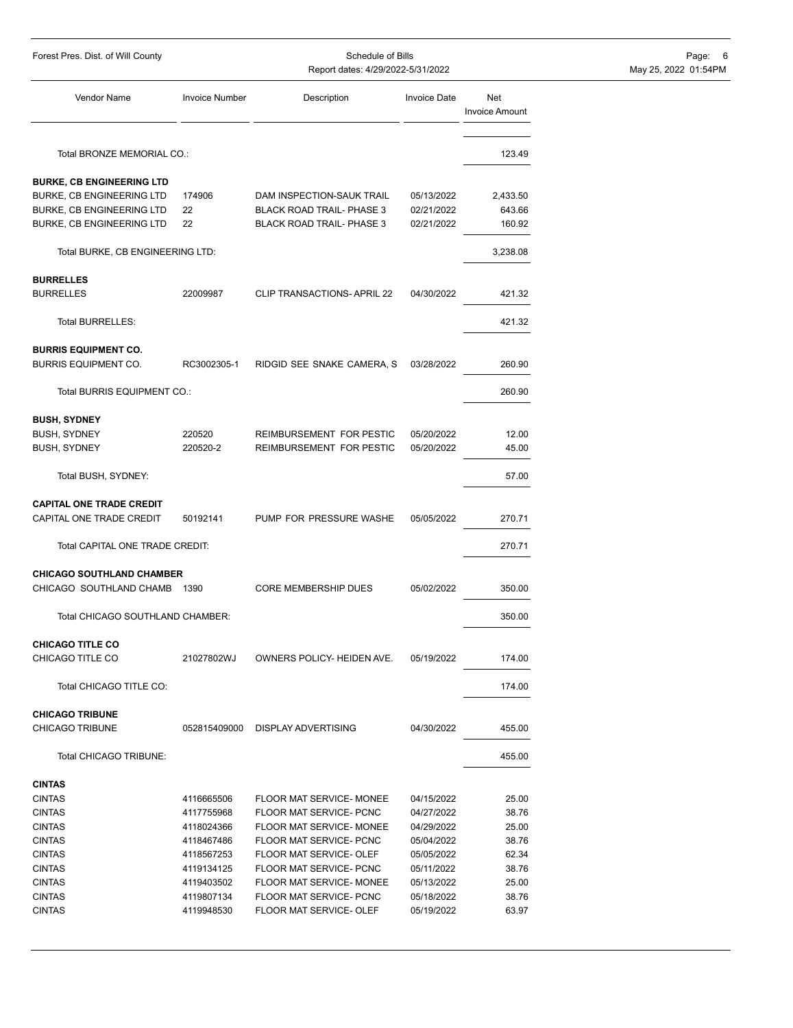| Forest Pres. Dist. of Will County                           | Schedule of Bills<br>Report dates: 4/29/2022-5/31/2022 |                                  |                     |                              | Page:<br>-6<br>May 25, 2022 01:54PM |
|-------------------------------------------------------------|--------------------------------------------------------|----------------------------------|---------------------|------------------------------|-------------------------------------|
| Vendor Name                                                 | <b>Invoice Number</b>                                  | Description                      | <b>Invoice Date</b> | Net<br><b>Invoice Amount</b> |                                     |
| Total BRONZE MEMORIAL CO.:                                  |                                                        |                                  |                     | 123.49                       |                                     |
| <b>BURKE, CB ENGINEERING LTD</b>                            |                                                        |                                  |                     |                              |                                     |
| BURKE, CB ENGINEERING LTD                                   | 174906                                                 | DAM INSPECTION-SAUK TRAIL        | 05/13/2022          | 2,433.50                     |                                     |
| BURKE, CB ENGINEERING LTD                                   | 22                                                     | <b>BLACK ROAD TRAIL- PHASE 3</b> | 02/21/2022          | 643.66                       |                                     |
| BURKE, CB ENGINEERING LTD                                   | 22                                                     | <b>BLACK ROAD TRAIL- PHASE 3</b> | 02/21/2022          | 160.92                       |                                     |
| Total BURKE, CB ENGINEERING LTD:                            |                                                        |                                  |                     | 3,238.08                     |                                     |
| <b>BURRELLES</b>                                            |                                                        |                                  |                     |                              |                                     |
| <b>BURRELLES</b>                                            | 22009987                                               | CLIP TRANSACTIONS- APRIL 22      | 04/30/2022          | 421.32                       |                                     |
| Total BURRELLES:                                            |                                                        |                                  |                     | 421.32                       |                                     |
| <b>BURRIS EQUIPMENT CO.</b>                                 |                                                        |                                  |                     |                              |                                     |
| <b>BURRIS EQUIPMENT CO.</b>                                 | RC3002305-1                                            | RIDGID SEE SNAKE CAMERA, S       | 03/28/2022          | 260.90                       |                                     |
| Total BURRIS EQUIPMENT CO.:                                 |                                                        |                                  |                     | 260.90                       |                                     |
| <b>BUSH, SYDNEY</b>                                         |                                                        |                                  |                     |                              |                                     |
| <b>BUSH, SYDNEY</b>                                         | 220520                                                 | REIMBURSEMENT FOR PESTIC         | 05/20/2022          | 12.00                        |                                     |
| <b>BUSH, SYDNEY</b>                                         | 220520-2                                               | REIMBURSEMENT FOR PESTIC         | 05/20/2022          | 45.00                        |                                     |
| Total BUSH, SYDNEY:                                         |                                                        |                                  |                     | 57.00                        |                                     |
| <b>CAPITAL ONE TRADE CREDIT</b><br>CAPITAL ONE TRADE CREDIT | 50192141                                               | PUMP FOR PRESSURE WASHE          | 05/05/2022          | 270.71                       |                                     |
| Total CAPITAL ONE TRADE CREDIT:                             |                                                        |                                  |                     | 270.71                       |                                     |
| <b>CHICAGO SOUTHLAND CHAMBER</b>                            |                                                        |                                  |                     |                              |                                     |
| CHICAGO SOUTHLAND CHAMB                                     | 1390                                                   | <b>CORE MEMBERSHIP DUES</b>      | 05/02/2022          | 350.00                       |                                     |
| Total CHICAGO SOUTHLAND CHAMBER:                            |                                                        |                                  |                     | 350.00                       |                                     |
| <b>CHICAGO TITLE CO</b><br>CHICAGO TITLE CO                 | 21027802WJ                                             | OWNERS POLICY- HEIDEN AVE.       | 05/19/2022          | 174.00                       |                                     |
| Total CHICAGO TITLE CO:                                     |                                                        |                                  |                     | 174.00                       |                                     |
| <b>CHICAGO TRIBUNE</b><br>CHICAGO TRIBUNE                   | 052815409000                                           | <b>DISPLAY ADVERTISING</b>       | 04/30/2022          | 455.00                       |                                     |
| Total CHICAGO TRIBUNE:                                      |                                                        |                                  |                     | 455.00                       |                                     |
| <b>CINTAS</b>                                               |                                                        |                                  |                     |                              |                                     |
| <b>CINTAS</b>                                               | 4116665506                                             | FLOOR MAT SERVICE- MONEE         | 04/15/2022          | 25.00                        |                                     |
| <b>CINTAS</b>                                               | 4117755968                                             | FLOOR MAT SERVICE- PCNC          | 04/27/2022          | 38.76                        |                                     |
| <b>CINTAS</b>                                               | 4118024366                                             | FLOOR MAT SERVICE- MONEE         | 04/29/2022          | 25.00                        |                                     |
| <b>CINTAS</b>                                               | 4118467486                                             | FLOOR MAT SERVICE- PCNC          | 05/04/2022          | 38.76                        |                                     |
| <b>CINTAS</b>                                               | 4118567253                                             | FLOOR MAT SERVICE- OLEF          | 05/05/2022          | 62.34                        |                                     |
| <b>CINTAS</b>                                               | 4119134125                                             | FLOOR MAT SERVICE- PCNC          | 05/11/2022          | 38.76                        |                                     |
| <b>CINTAS</b>                                               | 4119403502                                             | FLOOR MAT SERVICE- MONEE         | 05/13/2022          | 25.00                        |                                     |
| <b>CINTAS</b>                                               | 4119807134                                             | FLOOR MAT SERVICE- PCNC          | 05/18/2022          | 38.76                        |                                     |
| <b>CINTAS</b>                                               | 4119948530                                             | FLOOR MAT SERVICE- OLEF          | 05/19/2022          | 63.97                        |                                     |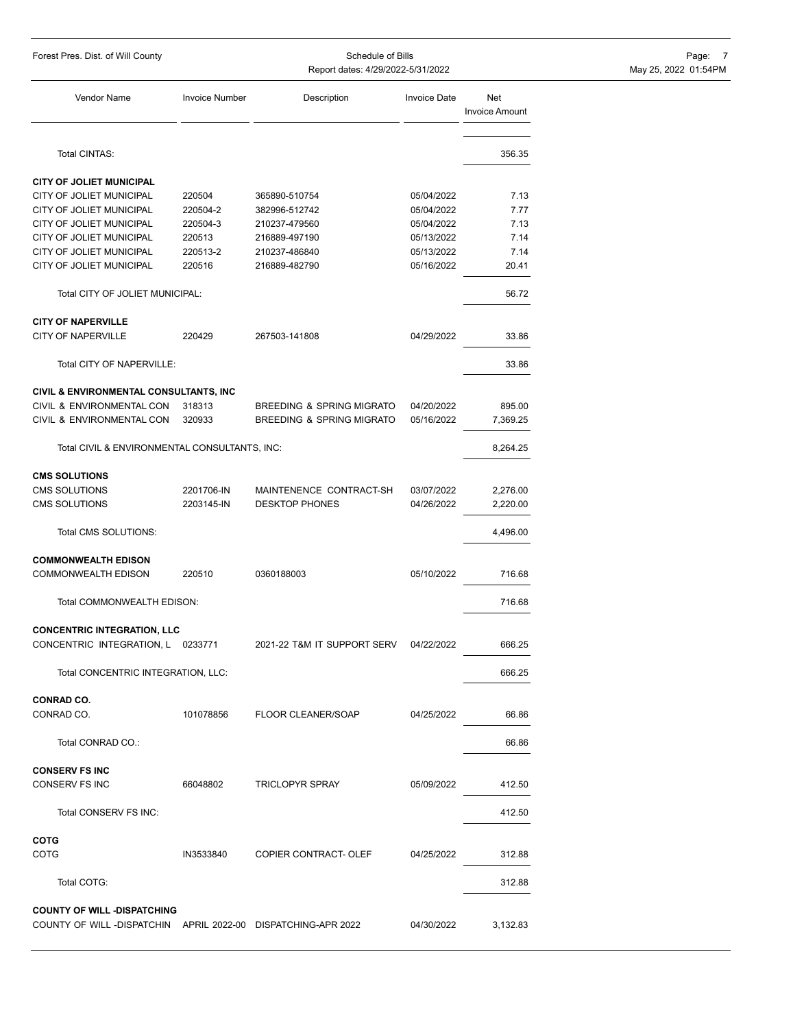| Forest Pres. Dist. of Will County |  |  |  |
|-----------------------------------|--|--|--|
|-----------------------------------|--|--|--|

Report dates: 4/29/2022-5/31/2022

Foredule of Bills Page: 7<br>ates: 4/29/2022-5/31/2022 May 25, 2022 01:54PM

| <b>Vendor Name</b>                                                                                 | <b>Invoice Number</b> | Description                          | <b>Invoice Date</b>      | Net                   |
|----------------------------------------------------------------------------------------------------|-----------------------|--------------------------------------|--------------------------|-----------------------|
|                                                                                                    |                       |                                      |                          | <b>Invoice Amount</b> |
| Total CINTAS:                                                                                      |                       |                                      |                          | 356.35                |
|                                                                                                    |                       |                                      |                          |                       |
| <b>CITY OF JOLIET MUNICIPAL</b>                                                                    |                       |                                      |                          |                       |
| CITY OF JOLIET MUNICIPAL                                                                           | 220504                | 365890-510754                        | 05/04/2022               | 7.13                  |
| CITY OF JOLIET MUNICIPAL<br>CITY OF JOLIET MUNICIPAL                                               | 220504-2<br>220504-3  | 382996-512742<br>210237-479560       | 05/04/2022<br>05/04/2022 | 7.77<br>7.13          |
| <b>CITY OF JOLIET MUNICIPAL</b>                                                                    | 220513                | 216889-497190                        | 05/13/2022               | 7.14                  |
| <b>CITY OF JOLIET MUNICIPAL</b>                                                                    | 220513-2              | 210237-486840                        | 05/13/2022               | 7.14                  |
| CITY OF JOLIET MUNICIPAL                                                                           | 220516                | 216889-482790                        | 05/16/2022               | 20.41                 |
| Total CITY OF JOLIET MUNICIPAL:                                                                    |                       |                                      |                          | 56.72                 |
| <b>CITY OF NAPERVILLE</b>                                                                          |                       |                                      |                          |                       |
| CITY OF NAPERVILLE                                                                                 | 220429                | 267503-141808                        | 04/29/2022               | 33.86                 |
| Total CITY OF NAPERVILLE:                                                                          |                       |                                      |                          | 33.86                 |
| CIVIL & ENVIRONMENTAL CONSULTANTS, INC                                                             |                       |                                      |                          |                       |
| CIVIL & ENVIRONMENTAL CON                                                                          | 318313                | <b>BREEDING &amp; SPRING MIGRATO</b> | 04/20/2022               | 895.00                |
| CIVIL & ENVIRONMENTAL CON                                                                          | 320933                | <b>BREEDING &amp; SPRING MIGRATO</b> | 05/16/2022               | 7,369.25              |
| Total CIVIL & ENVIRONMENTAL CONSULTANTS, INC:                                                      |                       |                                      |                          | 8,264.25              |
| <b>CMS SOLUTIONS</b>                                                                               |                       |                                      |                          |                       |
| <b>CMS SOLUTIONS</b>                                                                               | 2201706-IN            | MAINTENENCE CONTRACT-SH              | 03/07/2022               | 2,276.00              |
| <b>CMS SOLUTIONS</b>                                                                               | 2203145-IN            | <b>DESKTOP PHONES</b>                | 04/26/2022               | 2,220.00              |
| Total CMS SOLUTIONS:                                                                               |                       |                                      |                          | 4,496.00              |
| <b>COMMONWEALTH EDISON</b>                                                                         |                       |                                      |                          |                       |
| <b>COMMONWEALTH EDISON</b>                                                                         | 220510                | 0360188003                           | 05/10/2022               | 716.68                |
| Total COMMONWEALTH EDISON:                                                                         |                       |                                      |                          | 716.68                |
| <b>CONCENTRIC INTEGRATION, LLC</b>                                                                 |                       |                                      |                          |                       |
| CONCENTRIC INTEGRATION, L 0233771                                                                  |                       | 2021-22 T&M IT SUPPORT SERV          | 04/22/2022               | 666.25                |
| Total CONCENTRIC INTEGRATION, LLC:                                                                 |                       |                                      |                          | 666.25                |
| <b>CONRAD CO.</b>                                                                                  |                       |                                      |                          |                       |
| CONRAD CO.                                                                                         | 101078856             | <b>FLOOR CLEANER/SOAP</b>            | 04/25/2022               | 66.86                 |
| Total CONRAD CO.:                                                                                  |                       |                                      |                          | 66.86                 |
| <b>CONSERV FS INC</b>                                                                              |                       |                                      |                          |                       |
| CONSERV FS INC                                                                                     | 66048802              | <b>TRICLOPYR SPRAY</b>               | 05/09/2022               | 412.50                |
| Total CONSERV FS INC:                                                                              |                       |                                      |                          | 412.50                |
| COTG                                                                                               |                       |                                      |                          |                       |
| COTG                                                                                               | IN3533840             | COPIER CONTRACT- OLEF                | 04/25/2022               | 312.88                |
| Total COTG:                                                                                        |                       |                                      |                          | 312.88                |
|                                                                                                    |                       |                                      |                          |                       |
| <b>COUNTY OF WILL-DISPATCHING</b><br>COUNTY OF WILL -DISPATCHIN APRIL 2022-00 DISPATCHING-APR 2022 |                       |                                      | 04/30/2022               | 3,132.83              |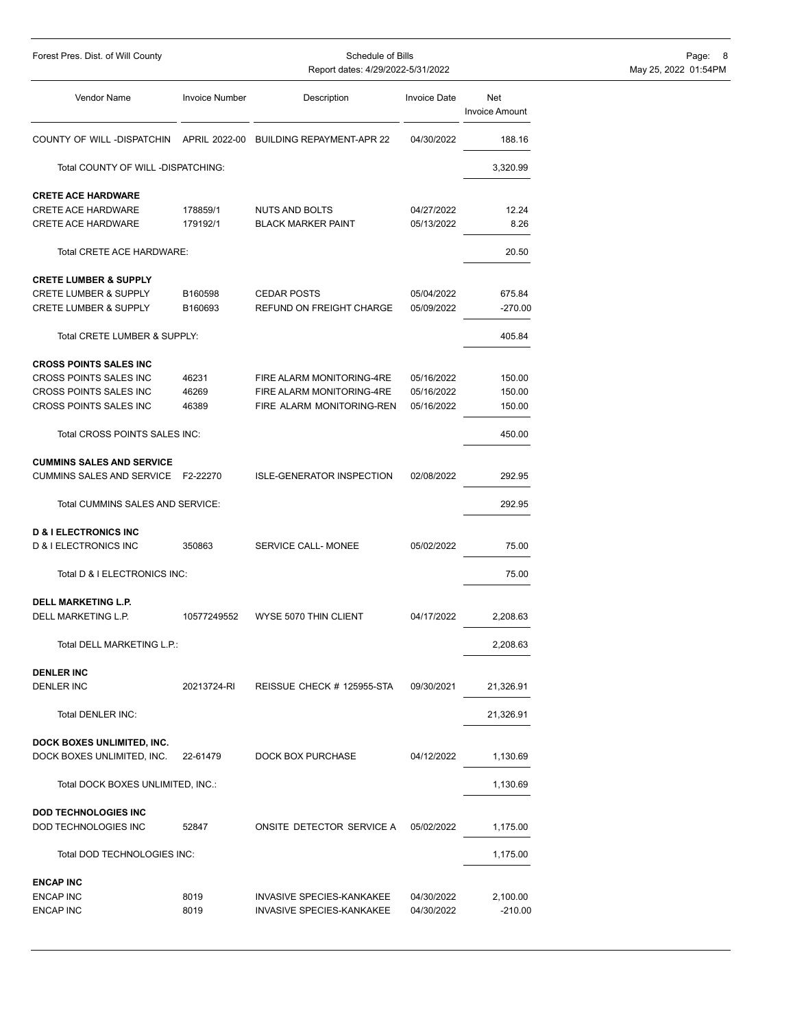| Schedule of Bills<br>Forest Pres. Dist. of Will County<br>Report dates: 4/29/2022-5/31/2022                 |                         |                                                                                     |                                        |                              | Page: 8<br>May 25, 2022 01:54PM |
|-------------------------------------------------------------------------------------------------------------|-------------------------|-------------------------------------------------------------------------------------|----------------------------------------|------------------------------|---------------------------------|
| Vendor Name                                                                                                 | <b>Invoice Number</b>   | Description                                                                         | <b>Invoice Date</b>                    | Net<br><b>Invoice Amount</b> |                                 |
| COUNTY OF WILL -DISPATCHIN                                                                                  | APRIL 2022-00           | <b>BUILDING REPAYMENT-APR 22</b>                                                    | 04/30/2022                             | 188.16                       |                                 |
| Total COUNTY OF WILL -DISPATCHING:                                                                          |                         |                                                                                     |                                        | 3,320.99                     |                                 |
| <b>CRETE ACE HARDWARE</b><br><b>CRETE ACE HARDWARE</b><br><b>CRETE ACE HARDWARE</b>                         | 178859/1<br>179192/1    | NUTS AND BOLTS<br><b>BLACK MARKER PAINT</b>                                         | 04/27/2022<br>05/13/2022               | 12.24<br>8.26                |                                 |
| Total CRETE ACE HARDWARE:                                                                                   |                         |                                                                                     |                                        | 20.50                        |                                 |
| <b>CRETE LUMBER &amp; SUPPLY</b><br><b>CRETE LUMBER &amp; SUPPLY</b><br><b>CRETE LUMBER &amp; SUPPLY</b>    | B160598<br>B160693      | <b>CEDAR POSTS</b><br>REFUND ON FREIGHT CHARGE                                      | 05/04/2022<br>05/09/2022               | 675.84<br>$-270.00$          |                                 |
| Total CRETE LUMBER & SUPPLY:                                                                                |                         |                                                                                     |                                        | 405.84                       |                                 |
| <b>CROSS POINTS SALES INC</b><br>CROSS POINTS SALES INC<br>CROSS POINTS SALES INC<br>CROSS POINTS SALES INC | 46231<br>46269<br>46389 | FIRE ALARM MONITORING-4RE<br>FIRE ALARM MONITORING-4RE<br>FIRE ALARM MONITORING-REN | 05/16/2022<br>05/16/2022<br>05/16/2022 | 150.00<br>150.00<br>150.00   |                                 |
| Total CROSS POINTS SALES INC:                                                                               |                         |                                                                                     |                                        | 450.00                       |                                 |
| <b>CUMMINS SALES AND SERVICE</b><br>CUMMINS SALES AND SERVICE F2-22270                                      |                         | <b>ISLE-GENERATOR INSPECTION</b>                                                    | 02/08/2022                             | 292.95                       |                                 |
| Total CUMMINS SALES AND SERVICE:                                                                            |                         |                                                                                     |                                        | 292.95                       |                                 |
| <b>D &amp; I ELECTRONICS INC</b><br><b>D &amp; I ELECTRONICS INC</b>                                        | 350863                  | SERVICE CALL- MONEE                                                                 | 05/02/2022                             | 75.00                        |                                 |
| Total D & I ELECTRONICS INC:                                                                                |                         |                                                                                     |                                        | 75.00                        |                                 |
| <b>DELL MARKETING L.P.</b><br>DELL MARKETING L.P.                                                           | 10577249552             | WYSE 5070 THIN CLIENT                                                               | 04/17/2022                             | 2,208.63                     |                                 |
| Total DELL MARKETING L.P.:                                                                                  |                         |                                                                                     |                                        | 2,208.63                     |                                 |
| <b>DENLER INC</b><br>DENLER INC                                                                             | 20213724-RI             | REISSUE CHECK # 125955-STA                                                          | 09/30/2021                             | 21,326.91                    |                                 |
| Total DENLER INC:                                                                                           |                         |                                                                                     |                                        | 21,326.91                    |                                 |
| DOCK BOXES UNLIMITED, INC.<br>DOCK BOXES UNLIMITED, INC.                                                    | 22-61479                | DOCK BOX PURCHASE                                                                   | 04/12/2022                             | 1,130.69                     |                                 |
| Total DOCK BOXES UNLIMITED, INC.:                                                                           |                         |                                                                                     |                                        | 1,130.69                     |                                 |
| <b>DOD TECHNOLOGIES INC</b><br>DOD TECHNOLOGIES INC                                                         | 52847                   | ONSITE DETECTOR SERVICE A                                                           | 05/02/2022                             | 1,175.00                     |                                 |
| Total DOD TECHNOLOGIES INC:                                                                                 |                         |                                                                                     |                                        | 1,175.00                     |                                 |
| <b>ENCAP INC</b><br><b>ENCAP INC</b><br><b>ENCAP INC</b>                                                    | 8019<br>8019            | INVASIVE SPECIES-KANKAKEE<br>INVASIVE SPECIES-KANKAKEE                              | 04/30/2022<br>04/30/2022               | 2,100.00<br>$-210.00$        |                                 |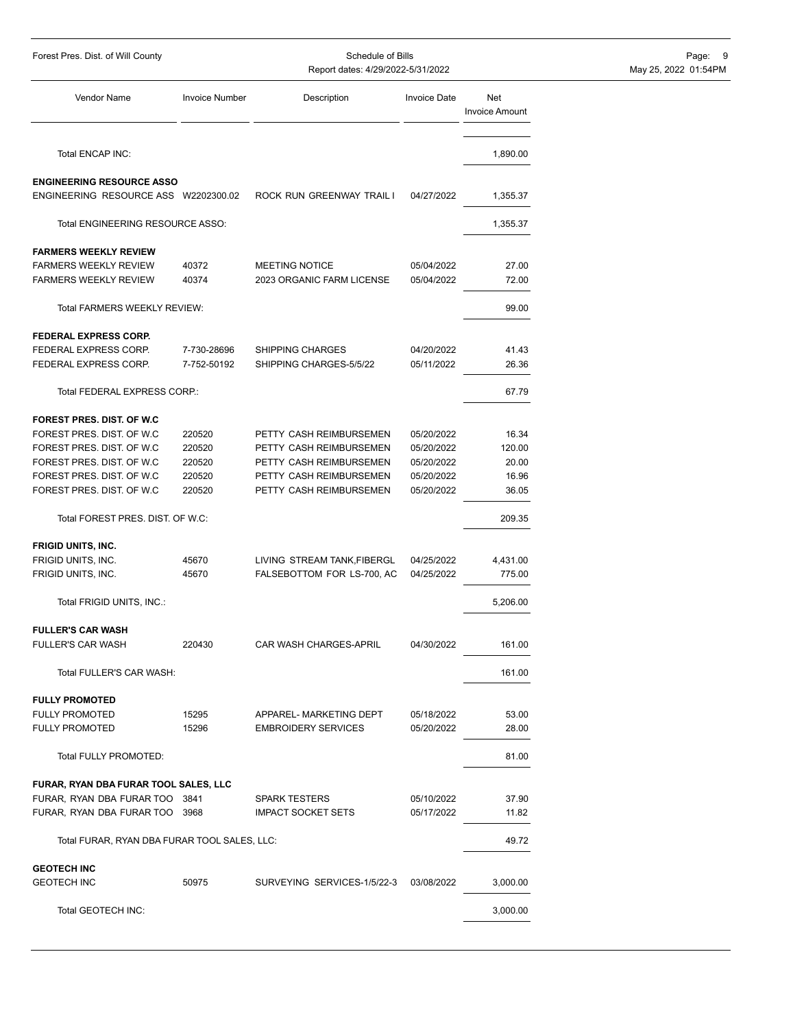| Forest Pres. Dist. of Will County            |                       | Schedule of Bills<br>Report dates: 4/29/2022-5/31/2022 |                     | Page: 9<br>May 25, 2022 01:54PM |  |
|----------------------------------------------|-----------------------|--------------------------------------------------------|---------------------|---------------------------------|--|
| Vendor Name                                  | <b>Invoice Number</b> | Description                                            | <b>Invoice Date</b> | Net<br><b>Invoice Amount</b>    |  |
| Total ENCAP INC:                             |                       |                                                        |                     | 1,890.00                        |  |
| <b>ENGINEERING RESOURCE ASSO</b>             |                       |                                                        |                     |                                 |  |
| ENGINEERING RESOURCE ASS W2202300.02         |                       | ROCK RUN GREENWAY TRAIL I                              | 04/27/2022          | 1,355.37                        |  |
| Total ENGINEERING RESOURCE ASSO:             |                       |                                                        |                     | 1,355.37                        |  |
| <b>FARMERS WEEKLY REVIEW</b>                 |                       |                                                        |                     |                                 |  |
| <b>FARMERS WEEKLY REVIEW</b>                 | 40372                 | MEETING NOTICE                                         | 05/04/2022          | 27.00                           |  |
| <b>FARMERS WEEKLY REVIEW</b>                 | 40374                 | 2023 ORGANIC FARM LICENSE                              | 05/04/2022          | 72.00                           |  |
| Total FARMERS WEEKLY REVIEW:                 |                       |                                                        |                     | 99.00                           |  |
| <b>FEDERAL EXPRESS CORP.</b>                 |                       |                                                        |                     |                                 |  |
| FEDERAL EXPRESS CORP.                        | 7-730-28696           | <b>SHIPPING CHARGES</b>                                | 04/20/2022          | 41.43                           |  |
| FEDERAL EXPRESS CORP.                        | 7-752-50192           | SHIPPING CHARGES-5/5/22                                | 05/11/2022          | 26.36                           |  |
| Total FEDERAL EXPRESS CORP.:                 |                       |                                                        |                     | 67.79                           |  |
| FOREST PRES. DIST. OF W.C.                   |                       |                                                        |                     |                                 |  |
| FOREST PRES. DIST. OF W.C                    | 220520                | PETTY CASH REIMBURSEMEN                                | 05/20/2022          | 16.34                           |  |
| FOREST PRES. DIST. OF W.C                    | 220520                | PETTY CASH REIMBURSEMEN                                | 05/20/2022          | 120.00                          |  |
| FOREST PRES. DIST. OF W.C                    | 220520                | PETTY CASH REIMBURSEMEN                                | 05/20/2022          | 20.00                           |  |
| FOREST PRES. DIST. OF W.C                    | 220520                | PETTY CASH REIMBURSEMEN                                | 05/20/2022          | 16.96                           |  |
| FOREST PRES. DIST. OF W.C                    | 220520                | PETTY CASH REIMBURSEMEN                                | 05/20/2022          | 36.05                           |  |
| Total FOREST PRES. DIST. OF W.C:             |                       |                                                        |                     | 209.35                          |  |
| <b>FRIGID UNITS, INC.</b>                    |                       |                                                        |                     |                                 |  |
| FRIGID UNITS, INC.                           | 45670                 | LIVING STREAM TANK, FIBERGL                            | 04/25/2022          | 4,431.00                        |  |
| FRIGID UNITS, INC.                           | 45670                 | FALSEBOTTOM FOR LS-700, AC                             | 04/25/2022          | 775.00                          |  |
| Total FRIGID UNITS, INC.:                    |                       |                                                        |                     | 5,206.00                        |  |
| <b>FULLER'S CAR WASH</b>                     |                       |                                                        |                     |                                 |  |
| <b>FULLER'S CAR WASH</b>                     | 220430                | CAR WASH CHARGES-APRIL                                 | 04/30/2022          | 161.00                          |  |
| Total FULLER'S CAR WASH:                     |                       |                                                        |                     | 161.00                          |  |
| <b>FULLY PROMOTED</b>                        |                       |                                                        |                     |                                 |  |
| <b>FULLY PROMOTED</b>                        | 15295                 | APPAREL- MARKETING DEPT                                | 05/18/2022          | 53.00                           |  |
| <b>FULLY PROMOTED</b>                        | 15296                 | <b>EMBROIDERY SERVICES</b>                             | 05/20/2022          | 28.00                           |  |
| Total FULLY PROMOTED:                        |                       |                                                        |                     | 81.00                           |  |
| FURAR, RYAN DBA FURAR TOOL SALES, LLC        |                       |                                                        |                     |                                 |  |
| FURAR, RYAN DBA FURAR TOO 3841               |                       | <b>SPARK TESTERS</b>                                   | 05/10/2022          | 37.90                           |  |
| FURAR, RYAN DBA FURAR TOO 3968               |                       | <b>IMPACT SOCKET SETS</b>                              | 05/17/2022          | 11.82                           |  |
| Total FURAR, RYAN DBA FURAR TOOL SALES, LLC: |                       |                                                        |                     | 49.72                           |  |
| <b>GEOTECH INC</b>                           |                       |                                                        |                     |                                 |  |
| GEOTECH INC                                  | 50975                 | SURVEYING SERVICES-1/5/22-3                            | 03/08/2022          | 3,000.00                        |  |
| Total GEOTECH INC:                           |                       |                                                        |                     | 3,000.00                        |  |
|                                              |                       |                                                        |                     |                                 |  |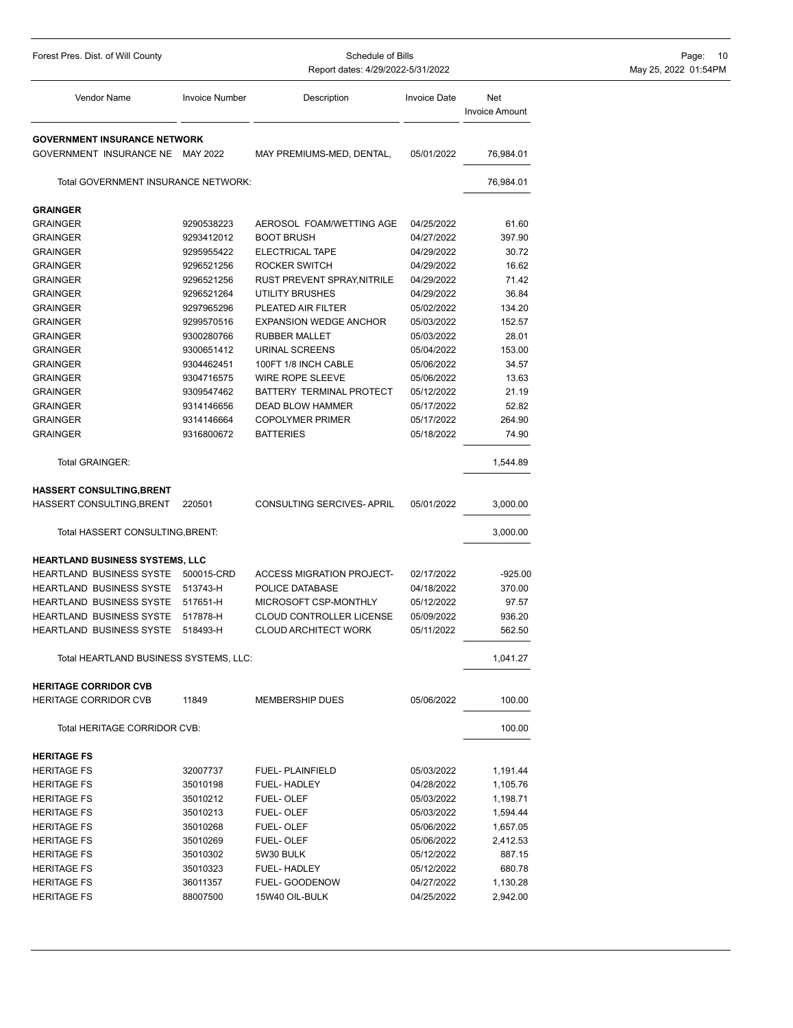| Forest Pres. Dist. of Will County      |                       | Schedule of Bills<br>Report dates: 4/29/2022-5/31/2022 |                     | Page: 10<br>May 25, 2022 01:54PM |  |
|----------------------------------------|-----------------------|--------------------------------------------------------|---------------------|----------------------------------|--|
| Vendor Name                            | <b>Invoice Number</b> | Description                                            | <b>Invoice Date</b> | Net<br><b>Invoice Amount</b>     |  |
| <b>GOVERNMENT INSURANCE NETWORK</b>    |                       |                                                        |                     |                                  |  |
| GOVERNMENT INSURANCE NE MAY 2022       |                       | MAY PREMIUMS-MED, DENTAL,                              | 05/01/2022          | 76,984.01                        |  |
| Total GOVERNMENT INSURANCE NETWORK:    |                       |                                                        |                     | 76,984.01                        |  |
| <b>GRAINGER</b>                        |                       |                                                        |                     |                                  |  |
| <b>GRAINGER</b>                        | 9290538223            | AEROSOL FOAM/WETTING AGE                               | 04/25/2022          | 61.60                            |  |
| <b>GRAINGER</b>                        | 9293412012            | <b>BOOT BRUSH</b>                                      | 04/27/2022          | 397.90                           |  |
| <b>GRAINGER</b>                        | 9295955422            | ELECTRICAL TAPE                                        | 04/29/2022          | 30.72                            |  |
| <b>GRAINGER</b>                        | 9296521256            | ROCKER SWITCH                                          | 04/29/2022          | 16.62                            |  |
| <b>GRAINGER</b>                        | 9296521256            | RUST PREVENT SPRAY, NITRILE                            | 04/29/2022          | 71.42                            |  |
| <b>GRAINGER</b>                        | 9296521264            | UTILITY BRUSHES                                        | 04/29/2022          | 36.84                            |  |
| <b>GRAINGER</b>                        | 9297965296            | PLEATED AIR FILTER                                     | 05/02/2022          | 134.20                           |  |
| <b>GRAINGER</b>                        | 9299570516            | <b>EXPANSION WEDGE ANCHOR</b>                          | 05/03/2022          | 152.57                           |  |
| <b>GRAINGER</b>                        | 9300280766            | <b>RUBBER MALLET</b>                                   | 05/03/2022          | 28.01                            |  |
| <b>GRAINGER</b>                        | 9300651412            | URINAL SCREENS                                         | 05/04/2022          | 153.00                           |  |
| <b>GRAINGER</b>                        | 9304462451            | 100FT 1/8 INCH CABLE                                   | 05/06/2022          | 34.57                            |  |
| <b>GRAINGER</b>                        | 9304716575            | WIRE ROPE SLEEVE                                       | 05/06/2022          | 13.63                            |  |
| <b>GRAINGER</b>                        | 9309547462            | BATTERY TERMINAL PROTECT                               | 05/12/2022          | 21.19                            |  |
| <b>GRAINGER</b>                        | 9314146656            | DEAD BLOW HAMMER                                       | 05/17/2022          | 52.82                            |  |
| <b>GRAINGER</b>                        | 9314146664            | <b>COPOLYMER PRIMER</b>                                | 05/17/2022          | 264.90                           |  |
| <b>GRAINGER</b>                        | 9316800672            | <b>BATTERIES</b>                                       | 05/18/2022          | 74.90                            |  |
| Total GRAINGER:                        |                       |                                                        |                     | 1,544.89                         |  |
| <b>HASSERT CONSULTING, BRENT</b>       |                       |                                                        |                     |                                  |  |
| HASSERT CONSULTING, BRENT              | 220501                | CONSULTING SERCIVES-APRIL                              | 05/01/2022          | 3,000.00                         |  |
| Total HASSERT CONSULTING, BRENT:       |                       |                                                        |                     | 3,000.00                         |  |
| HEARTLAND BUSINESS SYSTEMS, LLC        |                       |                                                        |                     |                                  |  |
| HEARTLAND BUSINESS SYSTE               | 500015-CRD            | <b>ACCESS MIGRATION PROJECT-</b>                       | 02/17/2022          | $-925.00$                        |  |
| HEARTLAND BUSINESS SYSTE               | 513743-H              | POLICE DATABASE                                        | 04/18/2022          | 370.00                           |  |
| HEARTLAND BUSINESS SYSTE               | 517651-H              | MICROSOFT CSP-MONTHLY                                  | 05/12/2022          | 97.57                            |  |
| HEARTLAND BUSINESS SYSTE               | 517878-H              | CLOUD CONTROLLER LICENSE                               | 05/09/2022          | 936.20                           |  |
| HEARTLAND BUSINESS SYSTE 518493-H      |                       | <b>CLOUD ARCHITECT WORK</b>                            | 05/11/2022          | 562.50                           |  |
| Total HEARTLAND BUSINESS SYSTEMS, LLC: |                       |                                                        |                     | 1,041.27                         |  |
| <b>HERITAGE CORRIDOR CVB</b>           |                       |                                                        |                     |                                  |  |
| <b>HERITAGE CORRIDOR CVB</b>           | 11849                 | <b>MEMBERSHIP DUES</b>                                 | 05/06/2022          | 100.00                           |  |
| Total HERITAGE CORRIDOR CVB:           |                       |                                                        |                     | 100.00                           |  |
| <b>HERITAGE FS</b>                     |                       |                                                        |                     |                                  |  |
| <b>HERITAGE FS</b>                     | 32007737              | <b>FUEL-PLAINFIELD</b>                                 | 05/03/2022          | 1,191.44                         |  |
| <b>HERITAGE FS</b>                     | 35010198              | FUEL-HADLEY                                            | 04/28/2022          | 1,105.76                         |  |
| <b>HERITAGE FS</b>                     | 35010212              | <b>FUEL-OLEF</b>                                       | 05/03/2022          | 1,198.71                         |  |
| <b>HERITAGE FS</b>                     | 35010213              | FUEL-OLEF                                              | 05/03/2022          | 1,594.44                         |  |
| <b>HERITAGE FS</b>                     | 35010268              | FUEL-OLEF                                              | 05/06/2022          | 1,657.05                         |  |
| <b>HERITAGE FS</b>                     | 35010269              | FUEL-OLEF                                              | 05/06/2022          | 2,412.53                         |  |
| <b>HERITAGE FS</b>                     | 35010302              | 5W30 BULK                                              | 05/12/2022          | 887.15                           |  |
| <b>HERITAGE FS</b>                     | 35010323              | FUEL-HADLEY                                            | 05/12/2022          | 680.78                           |  |
| <b>HERITAGE FS</b>                     | 36011357              | FUEL- GOODENOW                                         | 04/27/2022          | 1,130.28                         |  |
| <b>HERITAGE FS</b>                     | 88007500              | 15W40 OIL-BULK                                         | 04/25/2022          | 2,942.00                         |  |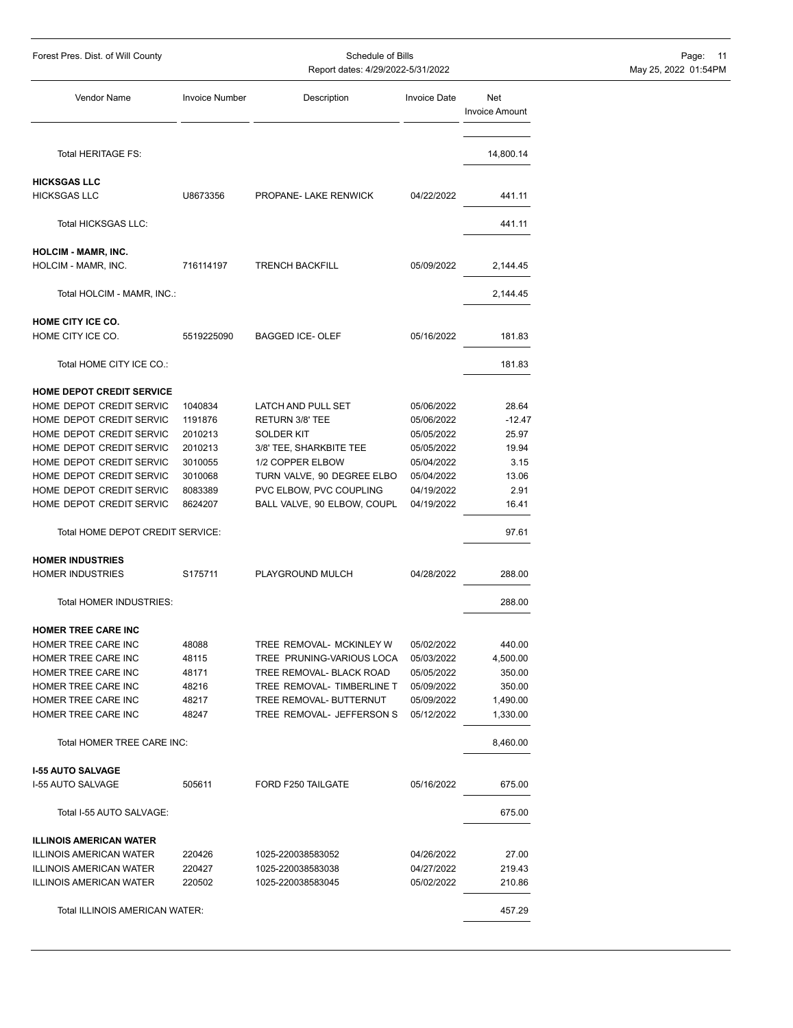| Forest Pres. Dist. of Will County                     |                       | Schedule of Bills<br>Report dates: 4/29/2022-5/31/2022 | Page: 11<br>May 25, 2022 01:54PM |                              |  |
|-------------------------------------------------------|-----------------------|--------------------------------------------------------|----------------------------------|------------------------------|--|
| Vendor Name                                           | <b>Invoice Number</b> | Description                                            | <b>Invoice Date</b>              | Net<br><b>Invoice Amount</b> |  |
| Total HERITAGE FS:                                    |                       |                                                        |                                  | 14,800.14                    |  |
| <b>HICKSGAS LLC</b>                                   |                       |                                                        |                                  |                              |  |
| <b>HICKSGAS LLC</b>                                   | U8673356              | PROPANE- LAKE RENWICK                                  | 04/22/2022                       | 441.11                       |  |
| <b>Total HICKSGAS LLC:</b>                            |                       |                                                        |                                  | 441.11                       |  |
| <b>HOLCIM - MAMR, INC.</b>                            |                       |                                                        |                                  |                              |  |
| HOLCIM - MAMR, INC.                                   | 716114197             | <b>TRENCH BACKFILL</b>                                 | 05/09/2022                       | 2,144.45                     |  |
| Total HOLCIM - MAMR, INC.:                            |                       |                                                        |                                  | 2,144.45                     |  |
| HOME CITY ICE CO.<br>HOME CITY ICE CO.                | 5519225090            | <b>BAGGED ICE-OLEF</b>                                 | 05/16/2022                       | 181.83                       |  |
| Total HOME CITY ICE CO.:                              |                       |                                                        |                                  | 181.83                       |  |
|                                                       |                       |                                                        |                                  |                              |  |
| HOME DEPOT CREDIT SERVICE<br>HOME DEPOT CREDIT SERVIC | 1040834               | LATCH AND PULL SET                                     | 05/06/2022                       | 28.64                        |  |
| HOME DEPOT CREDIT SERVIC                              | 1191876               | RETURN 3/8' TEE                                        | 05/06/2022                       | $-12.47$                     |  |
| HOME DEPOT CREDIT SERVIC                              | 2010213               | <b>SOLDER KIT</b>                                      | 05/05/2022                       | 25.97                        |  |
| HOME DEPOT CREDIT SERVIC                              | 2010213               | 3/8' TEE, SHARKBITE TEE                                | 05/05/2022                       | 19.94                        |  |
| HOME DEPOT CREDIT SERVIC                              | 3010055               | 1/2 COPPER ELBOW                                       | 05/04/2022                       | 3.15                         |  |
| HOME DEPOT CREDIT SERVIC                              | 3010068               | TURN VALVE, 90 DEGREE ELBO                             | 05/04/2022                       | 13.06                        |  |
| HOME DEPOT CREDIT SERVIC                              | 8083389               | PVC ELBOW, PVC COUPLING                                | 04/19/2022                       | 2.91                         |  |
| HOME DEPOT CREDIT SERVIC                              | 8624207               | BALL VALVE, 90 ELBOW, COUPL                            | 04/19/2022                       | 16.41                        |  |
| Total HOME DEPOT CREDIT SERVICE:                      |                       |                                                        |                                  | 97.61                        |  |
| <b>HOMER INDUSTRIES</b>                               |                       |                                                        |                                  |                              |  |
| <b>HOMER INDUSTRIES</b>                               | S175711               | PLAYGROUND MULCH                                       | 04/28/2022                       | 288.00                       |  |
| Total HOMER INDUSTRIES:                               |                       |                                                        |                                  | 288.00                       |  |
| HOMER TREE CARE INC                                   |                       |                                                        |                                  |                              |  |
| HOMER TREE CARE INC                                   | 48088                 | TREE REMOVAL- MCKINLEY W                               | 05/02/2022                       | 440.00                       |  |
| HOMER TREE CARE INC                                   | 48115                 | TREE PRUNING-VARIOUS LOCA                              | 05/03/2022                       | 4,500.00                     |  |
| HOMER TREE CARE INC                                   | 48171                 | TREE REMOVAL- BLACK ROAD                               | 05/05/2022                       | 350.00                       |  |
| HOMER TREE CARE INC                                   | 48216                 | TREE REMOVAL- TIMBERLINE T                             | 05/09/2022                       | 350.00                       |  |
| HOMER TREE CARE INC                                   | 48217                 | TREE REMOVAL- BUTTERNUT                                | 05/09/2022                       | 1,490.00                     |  |
| HOMER TREE CARE INC                                   | 48247                 | TREE REMOVAL- JEFFERSON S                              | 05/12/2022                       | 1,330.00                     |  |
| Total HOMER TREE CARE INC:                            |                       |                                                        |                                  | 8,460.00                     |  |
| <b>I-55 AUTO SALVAGE</b>                              |                       |                                                        |                                  |                              |  |
| I-55 AUTO SALVAGE                                     | 505611                | FORD F250 TAILGATE                                     | 05/16/2022                       | 675.00                       |  |
| Total I-55 AUTO SALVAGE:                              |                       |                                                        |                                  | 675.00                       |  |
| <b>ILLINOIS AMERICAN WATER</b>                        |                       |                                                        |                                  |                              |  |
| <b>ILLINOIS AMERICAN WATER</b>                        | 220426                | 1025-220038583052                                      | 04/26/2022                       | 27.00                        |  |
| <b>ILLINOIS AMERICAN WATER</b>                        | 220427                | 1025-220038583038                                      | 04/27/2022                       | 219.43                       |  |
| <b>ILLINOIS AMERICAN WATER</b>                        | 220502                | 1025-220038583045                                      | 05/02/2022                       | 210.86                       |  |
| Total ILLINOIS AMERICAN WATER:                        |                       |                                                        |                                  | 457.29                       |  |
|                                                       |                       |                                                        |                                  |                              |  |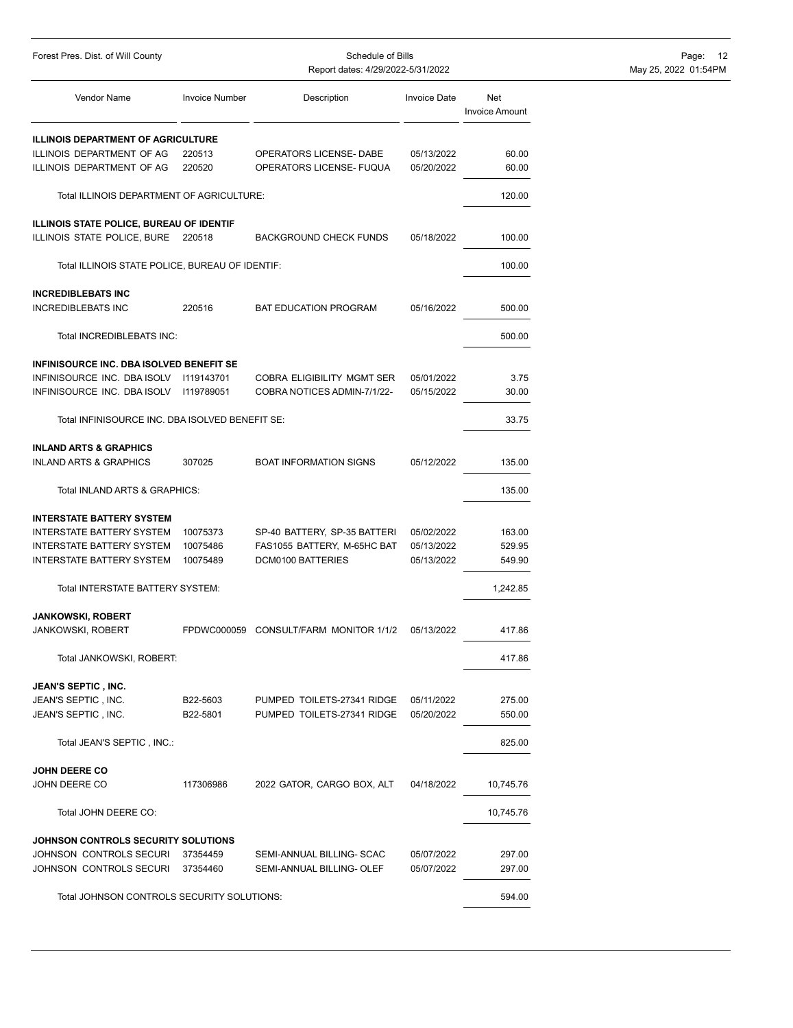| Forest Pres. Dist. of Will County                                      |                       | Schedule of Bills<br>Report dates: 4/29/2022-5/31/2022 |                     |                              | Page:<br>$^{\circ}$ 12<br>May 25, 2022 01:54PM |  |
|------------------------------------------------------------------------|-----------------------|--------------------------------------------------------|---------------------|------------------------------|------------------------------------------------|--|
| Vendor Name                                                            | <b>Invoice Number</b> | Description                                            | <b>Invoice Date</b> | Net<br><b>Invoice Amount</b> |                                                |  |
| <b>ILLINOIS DEPARTMENT OF AGRICULTURE</b>                              |                       |                                                        |                     |                              |                                                |  |
| ILLINOIS DEPARTMENT OF AG                                              | 220513                | OPERATORS LICENSE- DABE                                | 05/13/2022          | 60.00                        |                                                |  |
| ILLINOIS DEPARTMENT OF AG                                              | 220520                | OPERATORS LICENSE- FUQUA                               | 05/20/2022          | 60.00                        |                                                |  |
| Total ILLINOIS DEPARTMENT OF AGRICULTURE:                              |                       |                                                        |                     | 120.00                       |                                                |  |
| <b>ILLINOIS STATE POLICE, BUREAU OF IDENTIF</b>                        |                       |                                                        |                     |                              |                                                |  |
| ILLINOIS STATE POLICE, BURE 220518                                     |                       | <b>BACKGROUND CHECK FUNDS</b>                          | 05/18/2022          | 100.00                       |                                                |  |
| Total ILLINOIS STATE POLICE, BUREAU OF IDENTIF:                        |                       |                                                        |                     | 100.00                       |                                                |  |
| <b>INCREDIBLEBATS INC</b>                                              |                       |                                                        |                     |                              |                                                |  |
| <b>INCREDIBLEBATS INC</b>                                              | 220516                | <b>BAT EDUCATION PROGRAM</b>                           | 05/16/2022          | 500.00                       |                                                |  |
| Total INCREDIBLEBATS INC:                                              |                       |                                                        |                     | 500.00                       |                                                |  |
| INFINISOURCE INC. DBA ISOLVED BENEFIT SE                               |                       |                                                        |                     |                              |                                                |  |
| INFINISOURCE INC. DBA ISOLV                                            | 1119143701            | <b>COBRA ELIGIBILITY MGMT SER</b>                      | 05/01/2022          | 3.75                         |                                                |  |
| INFINISOURCE INC. DBA ISOLV                                            | 1119789051            | COBRA NOTICES ADMIN-7/1/22-                            | 05/15/2022          | 30.00                        |                                                |  |
| Total INFINISOURCE INC. DBA ISOLVED BENEFIT SE:                        |                       |                                                        |                     | 33.75                        |                                                |  |
|                                                                        |                       |                                                        |                     |                              |                                                |  |
| <b>INLAND ARTS &amp; GRAPHICS</b><br><b>INLAND ARTS &amp; GRAPHICS</b> | 307025                | <b>BOAT INFORMATION SIGNS</b>                          | 05/12/2022          | 135.00                       |                                                |  |
| Total INLAND ARTS & GRAPHICS:                                          |                       |                                                        |                     | 135.00                       |                                                |  |
| <b>INTERSTATE BATTERY SYSTEM</b>                                       |                       |                                                        |                     |                              |                                                |  |
| <b>INTERSTATE BATTERY SYSTEM</b>                                       | 10075373              | SP-40 BATTERY, SP-35 BATTERI                           | 05/02/2022          | 163.00                       |                                                |  |
| <b>INTERSTATE BATTERY SYSTEM</b>                                       | 10075486              | FAS1055 BATTERY, M-65HC BAT                            | 05/13/2022          | 529.95                       |                                                |  |
| <b>INTERSTATE BATTERY SYSTEM</b>                                       | 10075489              | DCM0100 BATTERIES                                      | 05/13/2022          | 549.90                       |                                                |  |
| Total INTERSTATE BATTERY SYSTEM:                                       |                       |                                                        |                     | 1,242.85                     |                                                |  |
| <b>JANKOWSKI, ROBERT</b>                                               |                       |                                                        |                     |                              |                                                |  |
| JANKOWSKI, ROBERT                                                      |                       | FPDWC000059 CONSULT/FARM MONITOR 1/1/2                 | 05/13/2022          | 417.86                       |                                                |  |
| Total JANKOWSKI, ROBERT:                                               |                       |                                                        |                     | 417.86                       |                                                |  |
| <b>JEAN'S SEPTIC, INC.</b>                                             |                       |                                                        |                     |                              |                                                |  |
| JEAN'S SEPTIC, INC.                                                    | B22-5603              | PUMPED TOILETS-27341 RIDGE                             | 05/11/2022          | 275.00                       |                                                |  |
| JEAN'S SEPTIC, INC.                                                    | B22-5801              | PUMPED TOILETS-27341 RIDGE                             | 05/20/2022          | 550.00                       |                                                |  |
| Total JEAN'S SEPTIC, INC.:                                             |                       |                                                        |                     | 825.00                       |                                                |  |
|                                                                        |                       |                                                        |                     |                              |                                                |  |
| <b>JOHN DEERE CO</b><br>JOHN DEERE CO                                  | 117306986             | 2022 GATOR, CARGO BOX, ALT                             | 04/18/2022          | 10,745.76                    |                                                |  |
| Total JOHN DEERE CO:                                                   |                       |                                                        |                     | 10,745.76                    |                                                |  |
| JOHNSON CONTROLS SECURITY SOLUTIONS                                    |                       |                                                        |                     |                              |                                                |  |
| JOHNSON CONTROLS SECURI                                                | 37354459              | SEMI-ANNUAL BILLING- SCAC                              | 05/07/2022          | 297.00                       |                                                |  |
| JOHNSON CONTROLS SECURI                                                | 37354460              | SEMI-ANNUAL BILLING- OLEF                              | 05/07/2022          | 297.00                       |                                                |  |
| Total JOHNSON CONTROLS SECURITY SOLUTIONS:                             |                       |                                                        |                     | 594.00                       |                                                |  |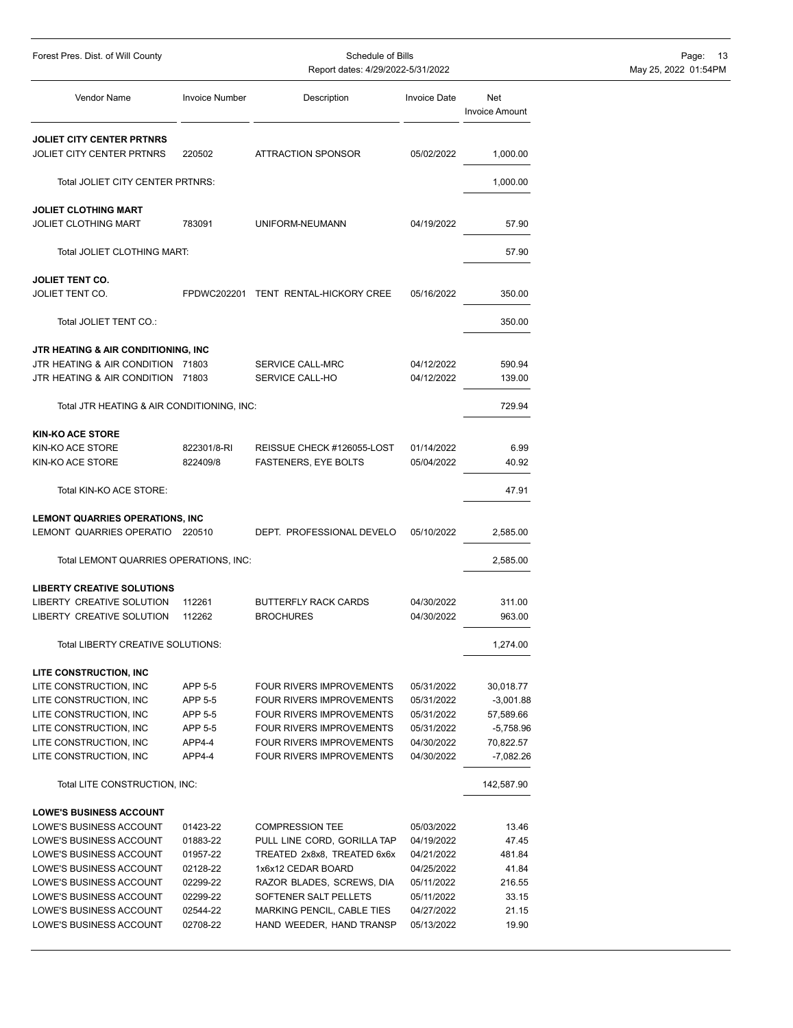| Forest Pres. Dist. of Will County                      |                       | Schedule of Bills<br>Report dates: 4/29/2022-5/31/2022 |                          |                              | Page:<br>- 13<br>May 25, 2022 01:54PM |  |  |
|--------------------------------------------------------|-----------------------|--------------------------------------------------------|--------------------------|------------------------------|---------------------------------------|--|--|
|                                                        |                       |                                                        |                          |                              |                                       |  |  |
| Vendor Name                                            | <b>Invoice Number</b> | Description                                            | <b>Invoice Date</b>      | Net<br><b>Invoice Amount</b> |                                       |  |  |
| <b>JOLIET CITY CENTER PRTNRS</b>                       |                       |                                                        |                          |                              |                                       |  |  |
| <b>JOLIET CITY CENTER PRTNRS</b>                       | 220502                | <b>ATTRACTION SPONSOR</b>                              | 05/02/2022               | 1,000.00                     |                                       |  |  |
| Total JOLIET CITY CENTER PRTNRS:                       |                       |                                                        |                          | 1,000.00                     |                                       |  |  |
| <b>JOLIET CLOTHING MART</b>                            |                       |                                                        |                          |                              |                                       |  |  |
| <b>JOLIET CLOTHING MART</b>                            | 783091                | UNIFORM-NEUMANN                                        | 04/19/2022               | 57.90                        |                                       |  |  |
| Total JOLIET CLOTHING MART:                            |                       |                                                        |                          | 57.90                        |                                       |  |  |
| <b>JOLIET TENT CO.</b>                                 |                       |                                                        |                          |                              |                                       |  |  |
| JOLIET TENT CO.                                        |                       | FPDWC202201 TENT RENTAL-HICKORY CREE                   | 05/16/2022               | 350.00                       |                                       |  |  |
| Total JOLIET TENT CO.:                                 |                       |                                                        |                          | 350.00                       |                                       |  |  |
|                                                        |                       |                                                        |                          |                              |                                       |  |  |
| JTR HEATING & AIR CONDITIONING, INC                    |                       |                                                        |                          |                              |                                       |  |  |
| JTR HEATING & AIR CONDITION 71803                      |                       | SERVICE CALL-MRC                                       | 04/12/2022               | 590.94                       |                                       |  |  |
| JTR HEATING & AIR CONDITION 71803                      |                       | SERVICE CALL-HO                                        | 04/12/2022               | 139.00                       |                                       |  |  |
| Total JTR HEATING & AIR CONDITIONING, INC:             |                       |                                                        |                          | 729.94                       |                                       |  |  |
| <b>KIN-KO ACE STORE</b>                                |                       |                                                        |                          |                              |                                       |  |  |
| KIN-KO ACE STORE                                       | 822301/8-RI           | REISSUE CHECK #126055-LOST                             | 01/14/2022               | 6.99                         |                                       |  |  |
| KIN-KO ACE STORE                                       | 822409/8              | <b>FASTENERS, EYE BOLTS</b>                            | 05/04/2022               | 40.92                        |                                       |  |  |
| Total KIN-KO ACE STORE:                                |                       |                                                        |                          | 47.91                        |                                       |  |  |
| <b>LEMONT QUARRIES OPERATIONS, INC</b>                 |                       |                                                        |                          |                              |                                       |  |  |
| LEMONT QUARRIES OPERATIO 220510                        |                       | DEPT. PROFESSIONAL DEVELO                              | 05/10/2022               | 2,585.00                     |                                       |  |  |
| Total LEMONT QUARRIES OPERATIONS, INC:                 |                       |                                                        |                          | 2,585.00                     |                                       |  |  |
|                                                        |                       |                                                        |                          |                              |                                       |  |  |
| <b>LIBERTY CREATIVE SOLUTIONS</b>                      |                       |                                                        |                          |                              |                                       |  |  |
| LIBERTY CREATIVE SOLUTION<br>LIBERTY CREATIVE SOLUTION | 112261<br>112262      | <b>BUTTERFLY RACK CARDS</b><br><b>BROCHURES</b>        | 04/30/2022<br>04/30/2022 | 311.00<br>963.00             |                                       |  |  |
| Total LIBERTY CREATIVE SOLUTIONS:                      |                       |                                                        |                          |                              |                                       |  |  |
|                                                        |                       |                                                        |                          | 1,274.00                     |                                       |  |  |
| LITE CONSTRUCTION, INC                                 |                       |                                                        |                          |                              |                                       |  |  |
| LITE CONSTRUCTION, INC                                 | APP 5-5               | FOUR RIVERS IMPROVEMENTS                               | 05/31/2022               | 30,018.77                    |                                       |  |  |
| LITE CONSTRUCTION, INC                                 | APP 5-5               | FOUR RIVERS IMPROVEMENTS                               | 05/31/2022               | $-3,001.88$                  |                                       |  |  |
| LITE CONSTRUCTION, INC                                 | APP 5-5<br>APP 5-5    | FOUR RIVERS IMPROVEMENTS<br>FOUR RIVERS IMPROVEMENTS   | 05/31/2022               | 57,589.66                    |                                       |  |  |
| LITE CONSTRUCTION, INC<br>LITE CONSTRUCTION, INC       | APP4-4                | FOUR RIVERS IMPROVEMENTS                               | 05/31/2022<br>04/30/2022 | $-5,758.96$<br>70,822.57     |                                       |  |  |
|                                                        | APP4-4                | <b>FOUR RIVERS IMPROVEMENTS</b>                        | 04/30/2022               |                              |                                       |  |  |
| LITE CONSTRUCTION, INC                                 |                       |                                                        |                          | $-7,082.26$                  |                                       |  |  |
| Total LITE CONSTRUCTION, INC:                          |                       |                                                        |                          | 142,587.90                   |                                       |  |  |
| <b>LOWE'S BUSINESS ACCOUNT</b>                         |                       |                                                        |                          |                              |                                       |  |  |
| LOWE'S BUSINESS ACCOUNT                                | 01423-22              | <b>COMPRESSION TEE</b>                                 | 05/03/2022               | 13.46                        |                                       |  |  |
| LOWE'S BUSINESS ACCOUNT                                | 01883-22              | PULL LINE CORD, GORILLA TAP                            | 04/19/2022               | 47.45                        |                                       |  |  |
| LOWE'S BUSINESS ACCOUNT                                | 01957-22              | TREATED 2x8x8, TREATED 6x6x                            | 04/21/2022               | 481.84                       |                                       |  |  |
| LOWE'S BUSINESS ACCOUNT                                | 02128-22              | 1x6x12 CEDAR BOARD                                     | 04/25/2022               | 41.84                        |                                       |  |  |
| LOWE'S BUSINESS ACCOUNT                                | 02299-22              | RAZOR BLADES, SCREWS, DIA                              | 05/11/2022               | 216.55                       |                                       |  |  |
| LOWE'S BUSINESS ACCOUNT                                | 02299-22              | SOFTENER SALT PELLETS                                  | 05/11/2022               | 33.15                        |                                       |  |  |
| LOWE'S BUSINESS ACCOUNT                                | 02544-22              | MARKING PENCIL, CABLE TIES                             | 04/27/2022               | 21.15                        |                                       |  |  |
| LOWE'S BUSINESS ACCOUNT                                | 02708-22              | HAND WEEDER, HAND TRANSP                               | 05/13/2022               | 19.90                        |                                       |  |  |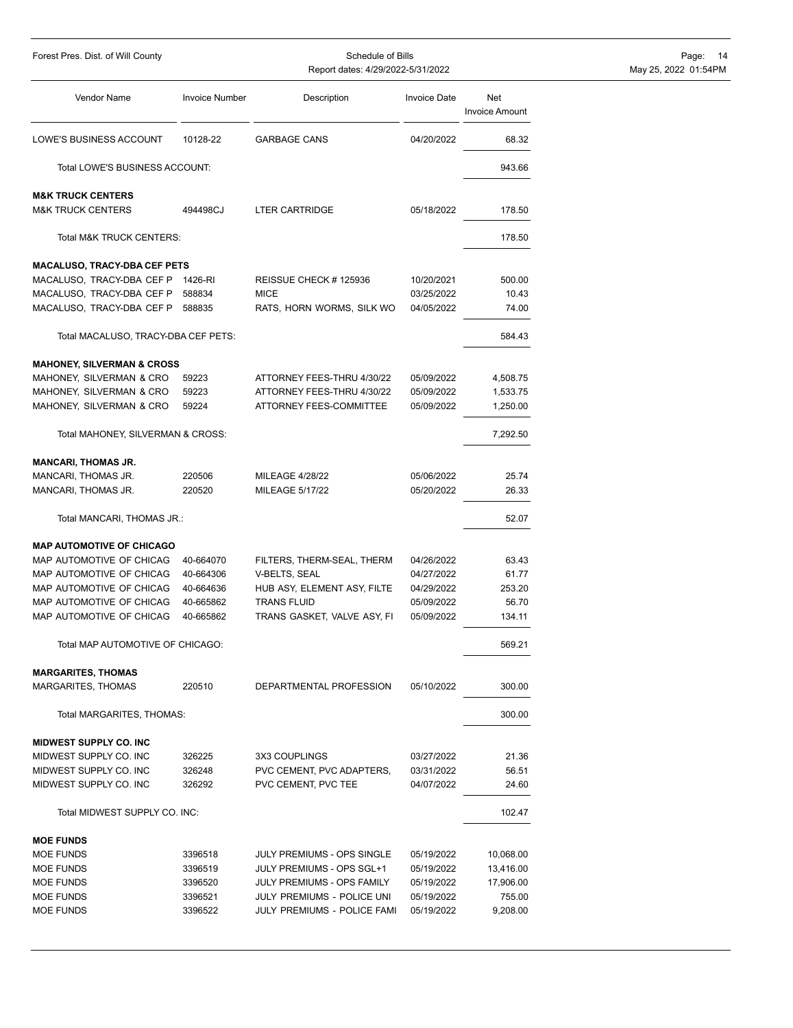| Forest Pres. Dist. of Will County               |                       |                                                         | Schedule of Bills        |                              | - 14<br>Page:        |
|-------------------------------------------------|-----------------------|---------------------------------------------------------|--------------------------|------------------------------|----------------------|
|                                                 |                       | Report dates: 4/29/2022-5/31/2022                       |                          |                              | May 25, 2022 01:54PM |
| Vendor Name                                     | <b>Invoice Number</b> | Description                                             | <b>Invoice Date</b>      | Net<br><b>Invoice Amount</b> |                      |
| LOWE'S BUSINESS ACCOUNT                         | 10128-22              | <b>GARBAGE CANS</b>                                     | 04/20/2022               | 68.32                        |                      |
| Total LOWE'S BUSINESS ACCOUNT:                  |                       |                                                         |                          | 943.66                       |                      |
| <b>M&amp;K TRUCK CENTERS</b>                    |                       |                                                         |                          |                              |                      |
| <b>M&amp;K TRUCK CENTERS</b>                    | 494498CJ              | <b>LTER CARTRIDGE</b>                                   | 05/18/2022               | 178.50                       |                      |
| <b>Total M&amp;K TRUCK CENTERS:</b>             |                       |                                                         |                          | 178.50                       |                      |
| <b>MACALUSO, TRACY-DBA CEF PETS</b>             |                       |                                                         |                          |                              |                      |
| MACALUSO, TRACY-DBA CEF P 1426-RI               |                       | REISSUE CHECK #125936                                   | 10/20/2021               | 500.00                       |                      |
| MACALUSO, TRACY-DBA CEF P                       | 588834                | <b>MICE</b>                                             | 03/25/2022               | 10.43                        |                      |
| MACALUSO, TRACY-DBA CEF P                       | 588835                | RATS, HORN WORMS, SILK WO                               | 04/05/2022               | 74.00                        |                      |
| Total MACALUSO, TRACY-DBA CEF PETS:             |                       |                                                         |                          | 584.43                       |                      |
| <b>MAHONEY, SILVERMAN &amp; CROSS</b>           |                       |                                                         |                          |                              |                      |
| MAHONEY, SILVERMAN & CRO                        | 59223                 | ATTORNEY FEES-THRU 4/30/22                              | 05/09/2022               | 4,508.75                     |                      |
| MAHONEY, SILVERMAN & CRO                        | 59223                 | ATTORNEY FEES-THRU 4/30/22                              | 05/09/2022               | 1,533.75                     |                      |
| MAHONEY, SILVERMAN & CRO                        | 59224                 | ATTORNEY FEES-COMMITTEE                                 | 05/09/2022               | 1,250.00                     |                      |
| Total MAHONEY, SILVERMAN & CROSS:               |                       |                                                         |                          | 7,292.50                     |                      |
|                                                 |                       |                                                         |                          |                              |                      |
| <b>MANCARI, THOMAS JR.</b>                      |                       |                                                         |                          |                              |                      |
| MANCARI, THOMAS JR.                             | 220506                | <b>MILEAGE 4/28/22</b>                                  | 05/06/2022               | 25.74                        |                      |
| MANCARI, THOMAS JR.                             | 220520                | MILEAGE 5/17/22                                         | 05/20/2022               | 26.33                        |                      |
| Total MANCARI, THOMAS JR.:                      |                       |                                                         |                          | 52.07                        |                      |
| <b>MAP AUTOMOTIVE OF CHICAGO</b>                |                       |                                                         |                          |                              |                      |
| MAP AUTOMOTIVE OF CHICAG                        | 40-664070             | FILTERS, THERM-SEAL, THERM                              | 04/26/2022               | 63.43                        |                      |
| MAP AUTOMOTIVE OF CHICAG                        | 40-664306             | V-BELTS, SEAL                                           | 04/27/2022               | 61.77                        |                      |
| MAP AUTOMOTIVE OF CHICAG                        | 40-664636             | HUB ASY, ELEMENT ASY, FILTE                             | 04/29/2022               | 253.20                       |                      |
| MAP AUTOMOTIVE OF CHICAG                        | 40-665862             | <b>TRANS FLUID</b>                                      | 05/09/2022               | 56.70                        |                      |
| MAP AUTOMOTIVE OF CHICAG                        | 40-665862             | TRANS GASKET, VALVE ASY, FI                             | 05/09/2022               | 134.11                       |                      |
| Total MAP AUTOMOTIVE OF CHICAGO:                |                       |                                                         |                          | 569.21                       |                      |
|                                                 |                       |                                                         |                          |                              |                      |
| <b>MARGARITES, THOMAS</b><br>MARGARITES, THOMAS | 220510                | DEPARTMENTAL PROFESSION                                 | 05/10/2022               | 300.00                       |                      |
| Total MARGARITES, THOMAS:                       |                       |                                                         |                          | 300.00                       |                      |
| MIDWEST SUPPLY CO. INC                          |                       |                                                         |                          |                              |                      |
| MIDWEST SUPPLY CO. INC                          | 326225                | 3X3 COUPLINGS                                           | 03/27/2022               | 21.36                        |                      |
| MIDWEST SUPPLY CO. INC                          | 326248                | PVC CEMENT, PVC ADAPTERS,                               | 03/31/2022               | 56.51                        |                      |
| MIDWEST SUPPLY CO. INC                          | 326292                | PVC CEMENT, PVC TEE                                     | 04/07/2022               | 24.60                        |                      |
| Total MIDWEST SUPPLY CO. INC:                   |                       |                                                         |                          | 102.47                       |                      |
|                                                 |                       |                                                         |                          |                              |                      |
| <b>MOE FUNDS</b>                                |                       |                                                         |                          |                              |                      |
| MOE FUNDS<br>MOE FUNDS                          | 3396518<br>3396519    | JULY PREMIUMS - OPS SINGLE<br>JULY PREMIUMS - OPS SGL+1 | 05/19/2022<br>05/19/2022 | 10,068.00                    |                      |
| MOE FUNDS                                       | 3396520               | JULY PREMIUMS - OPS FAMILY                              | 05/19/2022               | 13,416.00<br>17,906.00       |                      |
| MOE FUNDS                                       | 3396521               | JULY PREMIUMS - POLICE UNI                              | 05/19/2022               | 755.00                       |                      |
| MOE FUNDS                                       | 3396522               | JULY PREMIUMS - POLICE FAMI                             | 05/19/2022               | 9,208.00                     |                      |
|                                                 |                       |                                                         |                          |                              |                      |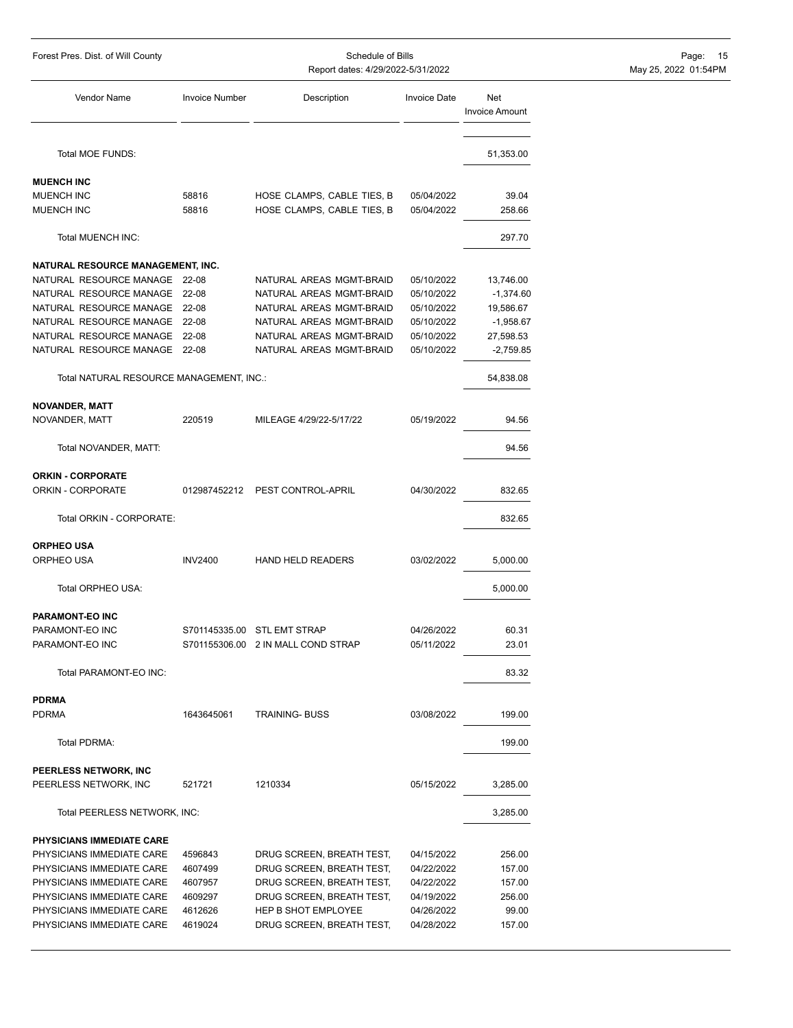| Forest Pres. Dist. of Will County        | Schedule of Bills<br>Report dates: 4/29/2022-5/31/2022 |                                                  |                     |                              | Page: 15<br>May 25, 2022 01:54PM |  |
|------------------------------------------|--------------------------------------------------------|--------------------------------------------------|---------------------|------------------------------|----------------------------------|--|
|                                          |                                                        |                                                  |                     |                              |                                  |  |
| Vendor Name                              | <b>Invoice Number</b>                                  | Description                                      | <b>Invoice Date</b> | Net<br><b>Invoice Amount</b> |                                  |  |
| Total MOE FUNDS:                         |                                                        |                                                  |                     | 51,353.00                    |                                  |  |
| <b>MUENCH INC</b>                        |                                                        |                                                  |                     |                              |                                  |  |
| MUENCH INC                               | 58816                                                  | HOSE CLAMPS, CABLE TIES, B                       | 05/04/2022          | 39.04                        |                                  |  |
| MUENCH INC                               | 58816                                                  | HOSE CLAMPS, CABLE TIES, B                       | 05/04/2022          | 258.66                       |                                  |  |
| Total MUENCH INC:                        |                                                        |                                                  |                     | 297.70                       |                                  |  |
| NATURAL RESOURCE MANAGEMENT, INC.        |                                                        |                                                  |                     |                              |                                  |  |
| NATURAL RESOURCE MANAGE 22-08            |                                                        | NATURAL AREAS MGMT-BRAID                         | 05/10/2022          | 13,746.00                    |                                  |  |
| NATURAL RESOURCE MANAGE 22-08            |                                                        | NATURAL AREAS MGMT-BRAID                         | 05/10/2022          | $-1,374.60$                  |                                  |  |
| NATURAL RESOURCE MANAGE                  | 22-08                                                  | NATURAL AREAS MGMT-BRAID                         | 05/10/2022          | 19,586.67                    |                                  |  |
| NATURAL RESOURCE MANAGE 22-08            |                                                        | NATURAL AREAS MGMT-BRAID                         | 05/10/2022          | $-1,958.67$                  |                                  |  |
| NATURAL RESOURCE MANAGE 22-08            |                                                        | NATURAL AREAS MGMT-BRAID                         | 05/10/2022          | 27,598.53                    |                                  |  |
| NATURAL RESOURCE MANAGE 22-08            |                                                        | NATURAL AREAS MGMT-BRAID                         | 05/10/2022          | $-2,759.85$                  |                                  |  |
| Total NATURAL RESOURCE MANAGEMENT, INC.: |                                                        |                                                  |                     | 54,838.08                    |                                  |  |
| <b>NOVANDER, MATT</b>                    |                                                        |                                                  |                     |                              |                                  |  |
| NOVANDER, MATT                           | 220519                                                 | MILEAGE 4/29/22-5/17/22                          | 05/19/2022          | 94.56                        |                                  |  |
| Total NOVANDER, MATT:                    |                                                        |                                                  |                     | 94.56                        |                                  |  |
| <b>ORKIN - CORPORATE</b>                 |                                                        |                                                  |                     |                              |                                  |  |
| ORKIN - CORPORATE                        | 012987452212                                           | PEST CONTROL-APRIL                               | 04/30/2022          | 832.65                       |                                  |  |
| Total ORKIN - CORPORATE:                 |                                                        |                                                  |                     | 832.65                       |                                  |  |
| <b>ORPHEO USA</b>                        |                                                        |                                                  |                     |                              |                                  |  |
| ORPHEO USA                               | <b>INV2400</b>                                         | <b>HAND HELD READERS</b>                         | 03/02/2022          | 5,000.00                     |                                  |  |
| Total ORPHEO USA:                        |                                                        |                                                  |                     | 5,000.00                     |                                  |  |
| PARAMONT-EO INC                          |                                                        |                                                  |                     |                              |                                  |  |
| PARAMONT-EO INC                          |                                                        | S701145335.00 STL EMT STRAP                      | 04/26/2022          | 60.31                        |                                  |  |
| PARAMONT-EO INC                          |                                                        | S701155306.00 2 IN MALL COND STRAP               | 05/11/2022          | 23.01                        |                                  |  |
| Total PARAMONT-EO INC:                   |                                                        |                                                  |                     | 83.32                        |                                  |  |
| <b>PDRMA</b>                             |                                                        |                                                  |                     |                              |                                  |  |
| <b>PDRMA</b>                             | 1643645061                                             | <b>TRAINING- BUSS</b>                            | 03/08/2022          | 199.00                       |                                  |  |
| Total PDRMA:                             |                                                        |                                                  |                     | 199.00                       |                                  |  |
| PEERLESS NETWORK, INC                    |                                                        |                                                  |                     |                              |                                  |  |
| PEERLESS NETWORK, INC                    | 521721                                                 | 1210334                                          | 05/15/2022          | 3,285.00                     |                                  |  |
| Total PEERLESS NETWORK, INC:             |                                                        |                                                  |                     | 3,285.00                     |                                  |  |
| PHYSICIANS IMMEDIATE CARE                |                                                        |                                                  |                     |                              |                                  |  |
| PHYSICIANS IMMEDIATE CARE                | 4596843                                                | DRUG SCREEN, BREATH TEST,                        | 04/15/2022          | 256.00                       |                                  |  |
| PHYSICIANS IMMEDIATE CARE                | 4607499                                                | DRUG SCREEN, BREATH TEST,                        | 04/22/2022          | 157.00                       |                                  |  |
| PHYSICIANS IMMEDIATE CARE                | 4607957                                                | DRUG SCREEN, BREATH TEST,                        | 04/22/2022          | 157.00                       |                                  |  |
| PHYSICIANS IMMEDIATE CARE                | 4609297                                                |                                                  |                     | 256.00                       |                                  |  |
| PHYSICIANS IMMEDIATE CARE                |                                                        | DRUG SCREEN, BREATH TEST,<br>HEP B SHOT EMPLOYEE | 04/19/2022          | 99.00                        |                                  |  |
|                                          | 4612626                                                |                                                  | 04/26/2022          |                              |                                  |  |
| PHYSICIANS IMMEDIATE CARE                | 4619024                                                | DRUG SCREEN, BREATH TEST,                        | 04/28/2022          | 157.00                       |                                  |  |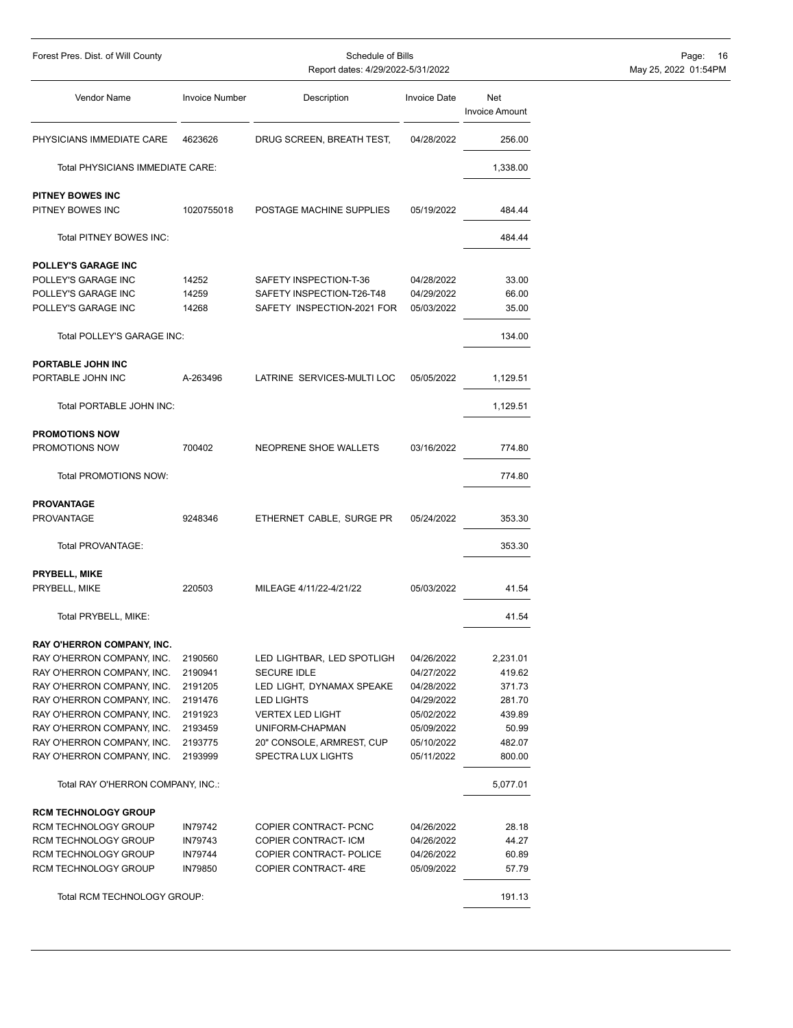| Forest Pres. Dist. of Will County       | Schedule of Bills<br>Report dates: 4/29/2022-5/31/2022 |                            |                     |                              | Page: 16<br>May 25, 2022 01:54PM |
|-----------------------------------------|--------------------------------------------------------|----------------------------|---------------------|------------------------------|----------------------------------|
| <b>Vendor Name</b>                      | <b>Invoice Number</b>                                  | Description                | <b>Invoice Date</b> | Net<br><b>Invoice Amount</b> |                                  |
| PHYSICIANS IMMEDIATE CARE               | 4623626                                                | DRUG SCREEN, BREATH TEST,  | 04/28/2022          | 256.00                       |                                  |
| Total PHYSICIANS IMMEDIATE CARE:        |                                                        |                            |                     | 1,338.00                     |                                  |
|                                         |                                                        |                            |                     |                              |                                  |
| PITNEY BOWES INC<br>PITNEY BOWES INC    | 1020755018                                             | POSTAGE MACHINE SUPPLIES   | 05/19/2022          | 484.44                       |                                  |
| Total PITNEY BOWES INC:                 |                                                        |                            |                     | 484.44                       |                                  |
| POLLEY'S GARAGE INC                     |                                                        |                            |                     |                              |                                  |
| POLLEY'S GARAGE INC                     | 14252                                                  | SAFETY INSPECTION-T-36     | 04/28/2022          | 33.00                        |                                  |
| POLLEY'S GARAGE INC                     | 14259                                                  | SAFETY INSPECTION-T26-T48  | 04/29/2022          | 66.00                        |                                  |
| POLLEY'S GARAGE INC                     | 14268                                                  | SAFETY INSPECTION-2021 FOR | 05/03/2022          | 35.00                        |                                  |
| Total POLLEY'S GARAGE INC:              |                                                        |                            |                     | 134.00                       |                                  |
| PORTABLE JOHN INC                       |                                                        |                            |                     |                              |                                  |
| PORTABLE JOHN INC                       | A-263496                                               | LATRINE SERVICES-MULTI LOC | 05/05/2022          | 1,129.51                     |                                  |
| Total PORTABLE JOHN INC:                |                                                        |                            |                     | 1,129.51                     |                                  |
|                                         |                                                        |                            |                     |                              |                                  |
| <b>PROMOTIONS NOW</b><br>PROMOTIONS NOW | 700402                                                 | NEOPRENE SHOE WALLETS      | 03/16/2022          | 774.80                       |                                  |
|                                         |                                                        |                            |                     |                              |                                  |
| Total PROMOTIONS NOW:                   |                                                        |                            |                     | 774.80                       |                                  |
| <b>PROVANTAGE</b>                       |                                                        |                            |                     |                              |                                  |
| <b>PROVANTAGE</b>                       | 9248346                                                | ETHERNET CABLE, SURGE PR   | 05/24/2022          | 353.30                       |                                  |
| Total PROVANTAGE:                       |                                                        |                            |                     | 353.30                       |                                  |
|                                         |                                                        |                            |                     |                              |                                  |
| PRYBELL, MIKE                           |                                                        |                            |                     |                              |                                  |
| PRYBELL, MIKE                           | 220503                                                 | MILEAGE 4/11/22-4/21/22    | 05/03/2022          | 41.54                        |                                  |
| Total PRYBELL, MIKE:                    |                                                        |                            |                     | 41.54                        |                                  |
| RAY O'HERRON COMPANY, INC.              |                                                        |                            |                     |                              |                                  |
| RAY O'HERRON COMPANY, INC.              | 2190560                                                | LED LIGHTBAR, LED SPOTLIGH | 04/26/2022          | 2,231.01                     |                                  |
| RAY O'HERRON COMPANY, INC.              | 2190941                                                | <b>SECURE IDLE</b>         | 04/27/2022          | 419.62                       |                                  |
| RAY O'HERRON COMPANY, INC.              | 2191205                                                | LED LIGHT, DYNAMAX SPEAKE  | 04/28/2022          | 371.73                       |                                  |
| RAY O'HERRON COMPANY, INC.              | 2191476                                                | <b>LED LIGHTS</b>          | 04/29/2022          | 281.70                       |                                  |
| RAY O'HERRON COMPANY, INC.              | 2191923                                                | <b>VERTEX LED LIGHT</b>    | 05/02/2022          | 439.89                       |                                  |
| RAY O'HERRON COMPANY, INC.              | 2193459                                                | UNIFORM-CHAPMAN            | 05/09/2022          | 50.99                        |                                  |
| RAY O'HERRON COMPANY, INC.              | 2193775                                                | 20" CONSOLE, ARMREST, CUP  | 05/10/2022          | 482.07                       |                                  |
| RAY O'HERRON COMPANY, INC.              | 2193999                                                | SPECTRA LUX LIGHTS         | 05/11/2022          | 800.00                       |                                  |
| Total RAY O'HERRON COMPANY, INC.:       |                                                        |                            |                     | 5,077.01                     |                                  |
| <b>RCM TECHNOLOGY GROUP</b>             |                                                        |                            |                     |                              |                                  |
| RCM TECHNOLOGY GROUP                    | <b>IN79742</b>                                         | COPIER CONTRACT- PCNC      | 04/26/2022          | 28.18                        |                                  |
| RCM TECHNOLOGY GROUP                    | <b>IN79743</b>                                         | COPIER CONTRACT-ICM        | 04/26/2022          | 44.27                        |                                  |
| RCM TECHNOLOGY GROUP                    | <b>IN79744</b>                                         | COPIER CONTRACT- POLICE    | 04/26/2022          | 60.89                        |                                  |
| RCM TECHNOLOGY GROUP                    | <b>IN79850</b>                                         | <b>COPIER CONTRACT-4RE</b> | 05/09/2022          | 57.79                        |                                  |
| Total RCM TECHNOLOGY GROUP:             |                                                        |                            |                     | 191.13                       |                                  |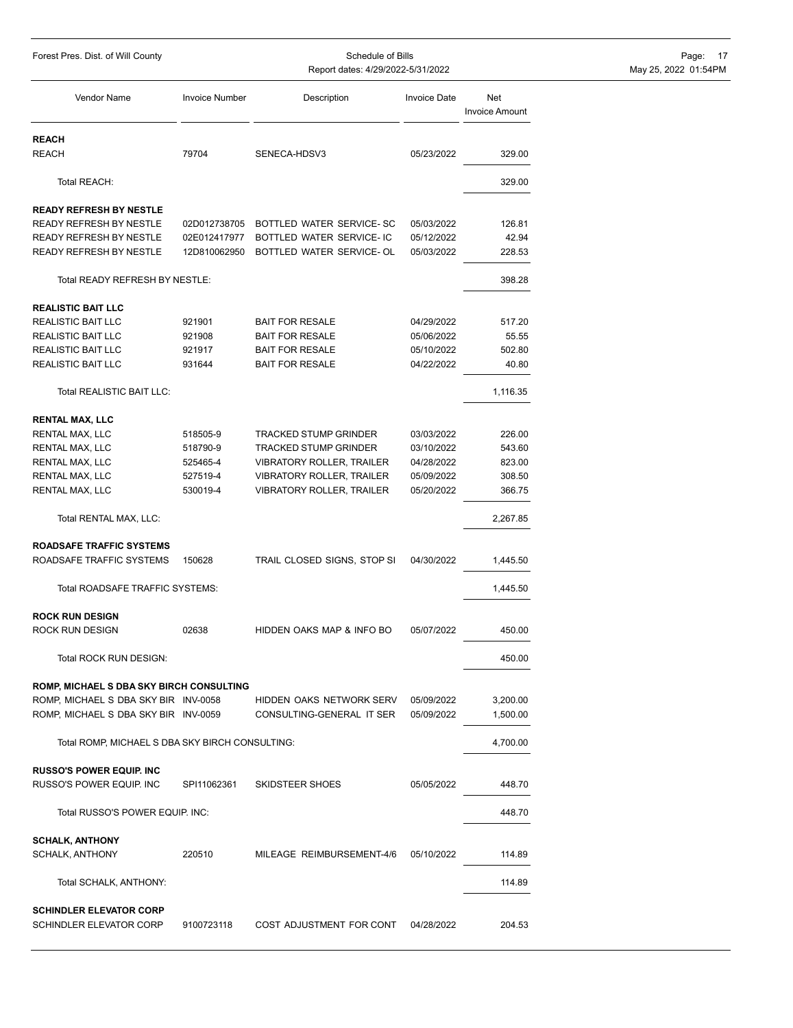|                                                 | Report dates: 4/29/2022-5/31/2022 |                                  |                     |                       |  |  |  |  |
|-------------------------------------------------|-----------------------------------|----------------------------------|---------------------|-----------------------|--|--|--|--|
| Vendor Name                                     | <b>Invoice Number</b>             | Description                      | <b>Invoice Date</b> | Net<br>Invoice Amount |  |  |  |  |
| <b>REACH</b>                                    |                                   |                                  |                     |                       |  |  |  |  |
| <b>REACH</b>                                    | 79704                             | SENECA-HDSV3                     | 05/23/2022          | 329.00                |  |  |  |  |
| Total REACH:                                    |                                   |                                  |                     | 329.00                |  |  |  |  |
| <b>READY REFRESH BY NESTLE</b>                  |                                   |                                  |                     |                       |  |  |  |  |
| READY REFRESH BY NESTLE                         | 02D012738705                      | BOTTLED WATER SERVICE-SC         | 05/03/2022          | 126.81                |  |  |  |  |
| READY REFRESH BY NESTLE                         | 02E012417977                      | BOTTLED WATER SERVICE- IC        | 05/12/2022          | 42.94                 |  |  |  |  |
| READY REFRESH BY NESTLE                         | 12D810062950                      | BOTTLED WATER SERVICE- OL        | 05/03/2022          | 228.53                |  |  |  |  |
| Total READY REFRESH BY NESTLE:                  |                                   |                                  |                     | 398.28                |  |  |  |  |
| <b>REALISTIC BAIT LLC</b>                       |                                   |                                  |                     |                       |  |  |  |  |
| <b>REALISTIC BAIT LLC</b>                       | 921901                            | <b>BAIT FOR RESALE</b>           | 04/29/2022          | 517.20                |  |  |  |  |
| REALISTIC BAIT LLC                              | 921908                            | <b>BAIT FOR RESALE</b>           | 05/06/2022          | 55.55                 |  |  |  |  |
| <b>REALISTIC BAIT LLC</b>                       | 921917                            | <b>BAIT FOR RESALE</b>           | 05/10/2022          | 502.80                |  |  |  |  |
| <b>REALISTIC BAIT LLC</b>                       | 931644                            | <b>BAIT FOR RESALE</b>           | 04/22/2022          | 40.80                 |  |  |  |  |
| Total REALISTIC BAIT LLC:                       |                                   |                                  |                     | 1,116.35              |  |  |  |  |
| <b>RENTAL MAX, LLC</b>                          |                                   |                                  |                     |                       |  |  |  |  |
| RENTAL MAX, LLC                                 | 518505-9                          | <b>TRACKED STUMP GRINDER</b>     | 03/03/2022          | 226.00                |  |  |  |  |
| RENTAL MAX, LLC                                 | 518790-9                          | <b>TRACKED STUMP GRINDER</b>     | 03/10/2022          | 543.60                |  |  |  |  |
| RENTAL MAX, LLC                                 | 525465-4                          | <b>VIBRATORY ROLLER, TRAILER</b> | 04/28/2022          | 823.00                |  |  |  |  |
| RENTAL MAX, LLC                                 | 527519-4                          | <b>VIBRATORY ROLLER, TRAILER</b> | 05/09/2022          | 308.50                |  |  |  |  |
| RENTAL MAX, LLC                                 | 530019-4                          | <b>VIBRATORY ROLLER, TRAILER</b> | 05/20/2022          | 366.75                |  |  |  |  |
| Total RENTAL MAX, LLC:                          |                                   |                                  |                     | 2,267.85              |  |  |  |  |
| <b>ROADSAFE TRAFFIC SYSTEMS</b>                 |                                   |                                  |                     |                       |  |  |  |  |
| ROADSAFE TRAFFIC SYSTEMS                        | 150628                            | TRAIL CLOSED SIGNS, STOP SI      | 04/30/2022          | 1,445.50              |  |  |  |  |
| Total ROADSAFE TRAFFIC SYSTEMS:                 |                                   |                                  |                     | 1,445.50              |  |  |  |  |
| <b>ROCK RUN DESIGN</b>                          |                                   |                                  |                     |                       |  |  |  |  |
| <b>ROCK RUN DESIGN</b>                          | 02638                             | HIDDEN OAKS MAP & INFO BO        | 05/07/2022          | 450.00                |  |  |  |  |
| Total ROCK RUN DESIGN:                          |                                   |                                  |                     | 450.00                |  |  |  |  |
| ROMP, MICHAEL S DBA SKY BIRCH CONSULTING        |                                   |                                  |                     |                       |  |  |  |  |
| ROMP, MICHAEL S DBA SKY BIR INV-0058            |                                   | HIDDEN OAKS NETWORK SERV         | 05/09/2022          | 3,200.00              |  |  |  |  |
| ROMP, MICHAEL S DBA SKY BIR INV-0059            |                                   | CONSULTING-GENERAL IT SER        | 05/09/2022          | 1,500.00              |  |  |  |  |
| Total ROMP, MICHAEL S DBA SKY BIRCH CONSULTING: |                                   |                                  |                     | 4,700.00              |  |  |  |  |
| <b>RUSSO'S POWER EQUIP. INC</b>                 |                                   |                                  |                     |                       |  |  |  |  |
| RUSSO'S POWER EQUIP. INC                        | SPI11062361                       | SKIDSTEER SHOES                  | 05/05/2022          | 448.70                |  |  |  |  |

Total RUSSO'S POWER EQUIP. INC: 448.70

Total SCHALK, ANTHONY: 114.89

SCHALK, ANTHONY 220510 MILEAGE REIMBURSEMENT-4/6 05/10/2022 114.89

**SCHALK, ANTHONY**

**SCHINDLER ELEVATOR CORP**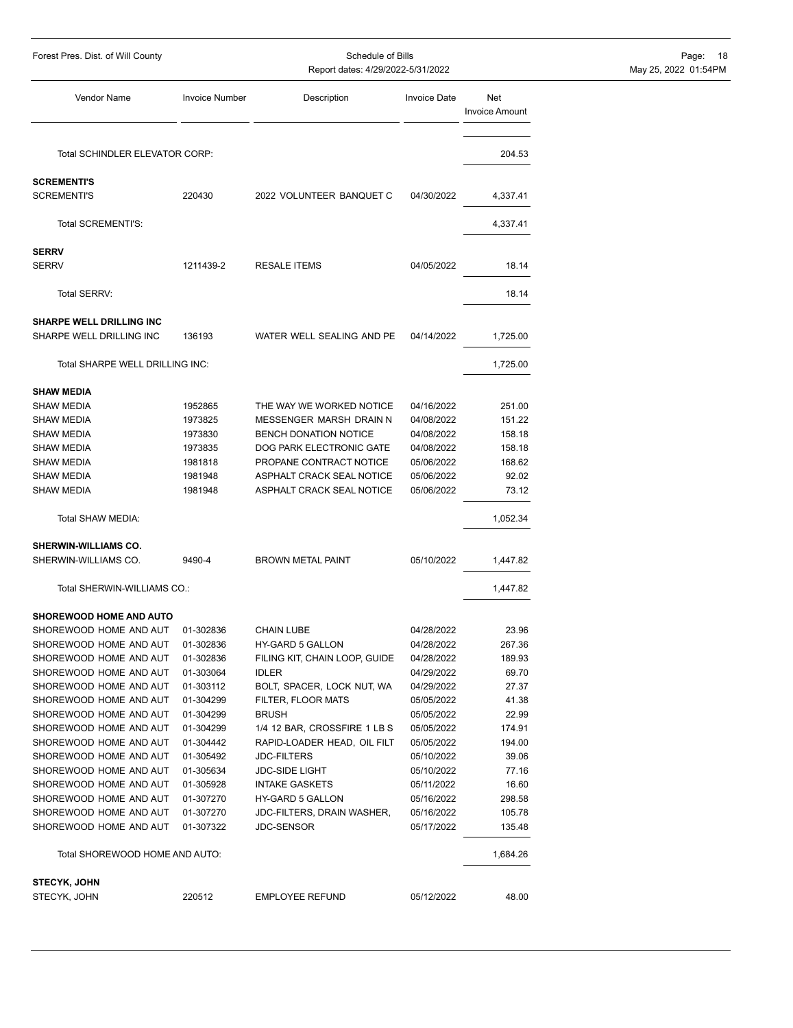| Forest Pres. Dist. of Will County                |                        | Page:<br>- 18<br>May 25, 2022 01:54PM    |                          |                              |  |
|--------------------------------------------------|------------------------|------------------------------------------|--------------------------|------------------------------|--|
| Vendor Name                                      | <b>Invoice Number</b>  | Description                              | <b>Invoice Date</b>      | Net<br><b>Invoice Amount</b> |  |
| Total SCHINDLER ELEVATOR CORP:                   |                        |                                          |                          | 204.53                       |  |
| <b>SCREMENTI'S</b>                               |                        |                                          |                          |                              |  |
| <b>SCREMENTI'S</b>                               | 220430                 | 2022 VOLUNTEER BANQUET C                 | 04/30/2022               | 4,337.41                     |  |
| Total SCREMENTI'S:                               |                        |                                          |                          | 4,337.41                     |  |
| <b>SERRV</b>                                     |                        |                                          |                          |                              |  |
| <b>SERRV</b>                                     | 1211439-2              | <b>RESALE ITEMS</b>                      | 04/05/2022               | 18.14                        |  |
| Total SERRV:                                     |                        |                                          |                          | 18.14                        |  |
| <b>SHARPE WELL DRILLING INC</b>                  |                        |                                          |                          |                              |  |
| SHARPE WELL DRILLING INC                         | 136193                 | WATER WELL SEALING AND PE                | 04/14/2022               | 1,725.00                     |  |
| Total SHARPE WELL DRILLING INC:                  |                        |                                          |                          | 1,725.00                     |  |
| <b>SHAW MEDIA</b>                                |                        |                                          |                          |                              |  |
| <b>SHAW MEDIA</b>                                | 1952865                | THE WAY WE WORKED NOTICE                 | 04/16/2022               | 251.00                       |  |
| SHAW MEDIA                                       | 1973825                | MESSENGER MARSH DRAIN N                  | 04/08/2022               | 151.22                       |  |
| SHAW MEDIA                                       | 1973830                | BENCH DONATION NOTICE                    | 04/08/2022               | 158.18                       |  |
| <b>SHAW MEDIA</b>                                | 1973835                | DOG PARK ELECTRONIC GATE                 | 04/08/2022               | 158.18                       |  |
| SHAW MEDIA                                       | 1981818                | PROPANE CONTRACT NOTICE                  | 05/06/2022               | 168.62                       |  |
| <b>SHAW MEDIA</b>                                | 1981948                | ASPHALT CRACK SEAL NOTICE                | 05/06/2022               | 92.02                        |  |
| SHAW MEDIA                                       | 1981948                | ASPHALT CRACK SEAL NOTICE                | 05/06/2022               | 73.12                        |  |
| Total SHAW MEDIA:                                |                        |                                          |                          | 1,052.34                     |  |
| <b>SHERWIN-WILLIAMS CO.</b>                      |                        |                                          |                          |                              |  |
| SHERWIN-WILLIAMS CO.                             | 9490-4                 | <b>BROWN METAL PAINT</b>                 | 05/10/2022               | 1,447.82                     |  |
| Total SHERWIN-WILLIAMS CO.:                      |                        |                                          |                          | 1,447.82                     |  |
| <b>SHOREWOOD HOME AND AUTO</b>                   |                        |                                          |                          |                              |  |
| SHOREWOOD HOME AND AUT                           | 01-302836              | <b>CHAIN LUBE</b>                        | 04/28/2022               | 23.96                        |  |
| SHOREWOOD HOME AND AUT                           | 01-302836              | HY-GARD 5 GALLON                         | 04/28/2022               | 267.36                       |  |
| SHOREWOOD HOME AND AUT                           | 01-302836              | FILING KIT, CHAIN LOOP, GUIDE            | 04/28/2022               | 189.93                       |  |
| SHOREWOOD HOME AND AUT                           | 01-303064              | <b>IDLER</b>                             | 04/29/2022               | 69.70                        |  |
| SHOREWOOD HOME AND AUT                           | 01-303112              | BOLT, SPACER, LOCK NUT, WA               | 04/29/2022               | 27.37                        |  |
| SHOREWOOD HOME AND AUT                           | 01-304299              | FILTER, FLOOR MATS                       | 05/05/2022               | 41.38                        |  |
| SHOREWOOD HOME AND AUT                           | 01-304299              | <b>BRUSH</b>                             | 05/05/2022               | 22.99                        |  |
| SHOREWOOD HOME AND AUT                           | 01-304299              | 1/4 12 BAR, CROSSFIRE 1 LB S             | 05/05/2022               | 174.91                       |  |
| SHOREWOOD HOME AND AUT                           | 01-304442              | RAPID-LOADER HEAD, OIL FILT              | 05/05/2022               | 194.00                       |  |
| SHOREWOOD HOME AND AUT                           | 01-305492              | <b>JDC-FILTERS</b>                       | 05/10/2022               | 39.06                        |  |
| SHOREWOOD HOME AND AUT                           | 01-305634              | <b>JDC-SIDE LIGHT</b>                    | 05/10/2022               | 77.16                        |  |
| SHOREWOOD HOME AND AUT                           | 01-305928              | <b>INTAKE GASKETS</b>                    | 05/11/2022               | 16.60                        |  |
| SHOREWOOD HOME AND AUT                           | 01-307270              | HY-GARD 5 GALLON                         | 05/16/2022               | 298.58                       |  |
| SHOREWOOD HOME AND AUT<br>SHOREWOOD HOME AND AUT | 01-307270<br>01-307322 | JDC-FILTERS, DRAIN WASHER,<br>JDC-SENSOR | 05/16/2022<br>05/17/2022 | 105.78<br>135.48             |  |
| Total SHOREWOOD HOME AND AUTO:                   |                        |                                          |                          | 1,684.26                     |  |
|                                                  |                        |                                          |                          |                              |  |
| <b>STECYK, JOHN</b>                              |                        |                                          |                          |                              |  |
| STECYK, JOHN                                     | 220512                 | <b>EMPLOYEE REFUND</b>                   | 05/12/2022               | 48.00                        |  |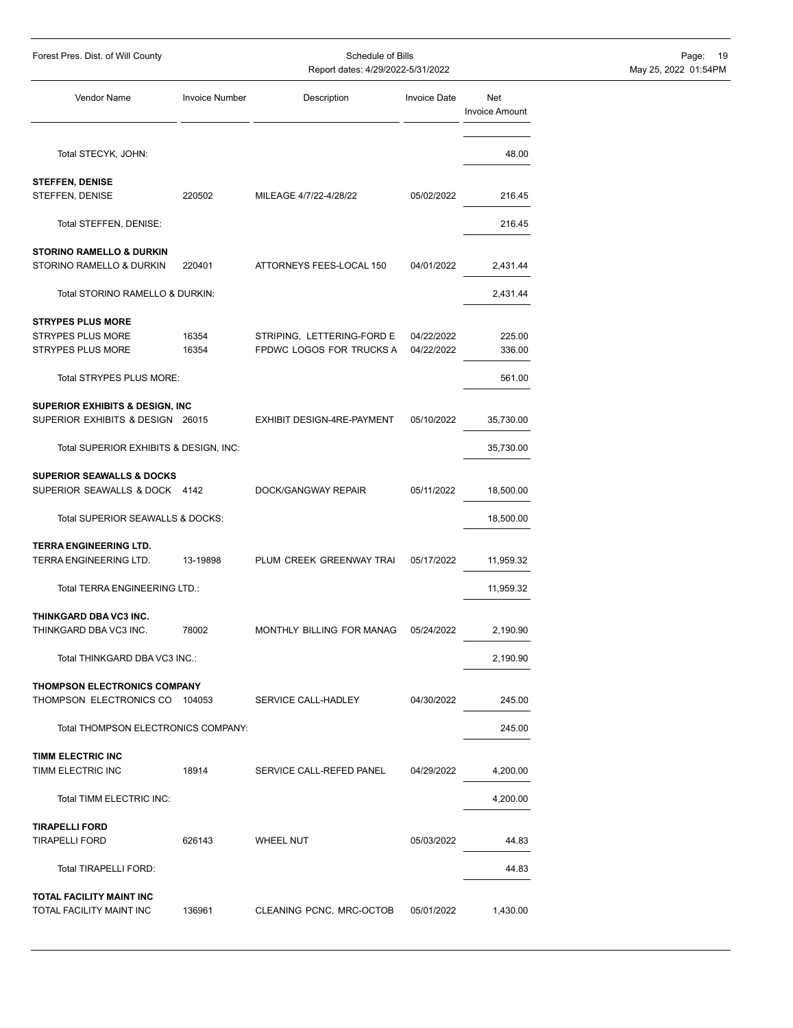| Forest Pres. Dist. of Will County                                              |                       | Schedule of Bills<br>Report dates: 4/29/2022-5/31/2022 |                          | 19<br>Page:<br>May 25, 2022 01:54PM |  |
|--------------------------------------------------------------------------------|-----------------------|--------------------------------------------------------|--------------------------|-------------------------------------|--|
| Vendor Name                                                                    | <b>Invoice Number</b> | Description                                            | <b>Invoice Date</b>      | Net<br><b>Invoice Amount</b>        |  |
| Total STECYK, JOHN:                                                            |                       |                                                        |                          | 48.00                               |  |
| <b>STEFFEN, DENISE</b>                                                         |                       |                                                        |                          |                                     |  |
| STEFFEN, DENISE                                                                | 220502                | MILEAGE 4/7/22-4/28/22                                 | 05/02/2022               | 216.45                              |  |
| Total STEFFEN, DENISE:                                                         |                       |                                                        |                          | 216.45                              |  |
| <b>STORINO RAMELLO &amp; DURKIN</b><br>STORINO RAMELLO & DURKIN                | 220401                | ATTORNEYS FEES-LOCAL 150                               | 04/01/2022               | 2,431.44                            |  |
| Total STORINO RAMELLO & DURKIN:                                                |                       |                                                        |                          | 2,431.44                            |  |
| <b>STRYPES PLUS MORE</b><br><b>STRYPES PLUS MORE</b><br>STRYPES PLUS MORE      | 16354<br>16354        | STRIPING, LETTERING-FORD E<br>FPDWC LOGOS FOR TRUCKS A | 04/22/2022<br>04/22/2022 | 225.00<br>336.00                    |  |
| Total STRYPES PLUS MORE:                                                       |                       |                                                        |                          | 561.00                              |  |
| <b>SUPERIOR EXHIBITS &amp; DESIGN, INC</b><br>SUPERIOR EXHIBITS & DESIGN 26015 |                       | EXHIBIT DESIGN-4RE-PAYMENT                             | 05/10/2022               | 35,730.00                           |  |
| Total SUPERIOR EXHIBITS & DESIGN, INC:                                         |                       |                                                        |                          | 35,730.00                           |  |
| <b>SUPERIOR SEAWALLS &amp; DOCKS</b><br>SUPERIOR SEAWALLS & DOCK 4142          |                       | DOCK/GANGWAY REPAIR                                    | 05/11/2022               | 18,500.00                           |  |
| Total SUPERIOR SEAWALLS & DOCKS:                                               |                       |                                                        |                          | 18,500.00                           |  |
| <b>TERRA ENGINEERING LTD.</b><br><b>TERRA ENGINEERING LTD.</b>                 | 13-19898              | PLUM CREEK GREENWAY TRAI                               | 05/17/2022               | 11,959.32                           |  |
| Total TERRA ENGINEERING LTD.:                                                  |                       |                                                        |                          | 11,959.32                           |  |
| THINKGARD DBA VC3 INC.<br>THINKGARD DBA VC3 INC.                               | 78002                 | MONTHLY BILLING FOR MANAG 05/24/2022                   |                          | 2,190.90                            |  |
| Total THINKGARD DBA VC3 INC.:                                                  |                       |                                                        |                          | 2,190.90                            |  |
| <b>THOMPSON ELECTRONICS COMPANY</b><br>THOMPSON ELECTRONICS CO 104053          |                       | SERVICE CALL-HADLEY                                    | 04/30/2022               | 245.00                              |  |
| Total THOMPSON ELECTRONICS COMPANY:                                            |                       |                                                        |                          | 245.00                              |  |
| TIMM ELECTRIC INC<br>TIMM ELECTRIC INC                                         | 18914                 | SERVICE CALL-REFED PANEL                               | 04/29/2022               | 4,200.00                            |  |
| Total TIMM ELECTRIC INC:                                                       |                       |                                                        |                          | 4,200.00                            |  |
| <b>TIRAPELLI FORD</b><br><b>TIRAPELLI FORD</b>                                 | 626143                | <b>WHEEL NUT</b>                                       | 05/03/2022               | 44.83                               |  |
| Total TIRAPELLI FORD:                                                          |                       |                                                        |                          | 44.83                               |  |
| TOTAL FACILITY MAINT INC<br>TOTAL FACILITY MAINT INC                           | 136961                | CLEANING PCNC, MRC-OCTOB                               | 05/01/2022               | 1,430.00                            |  |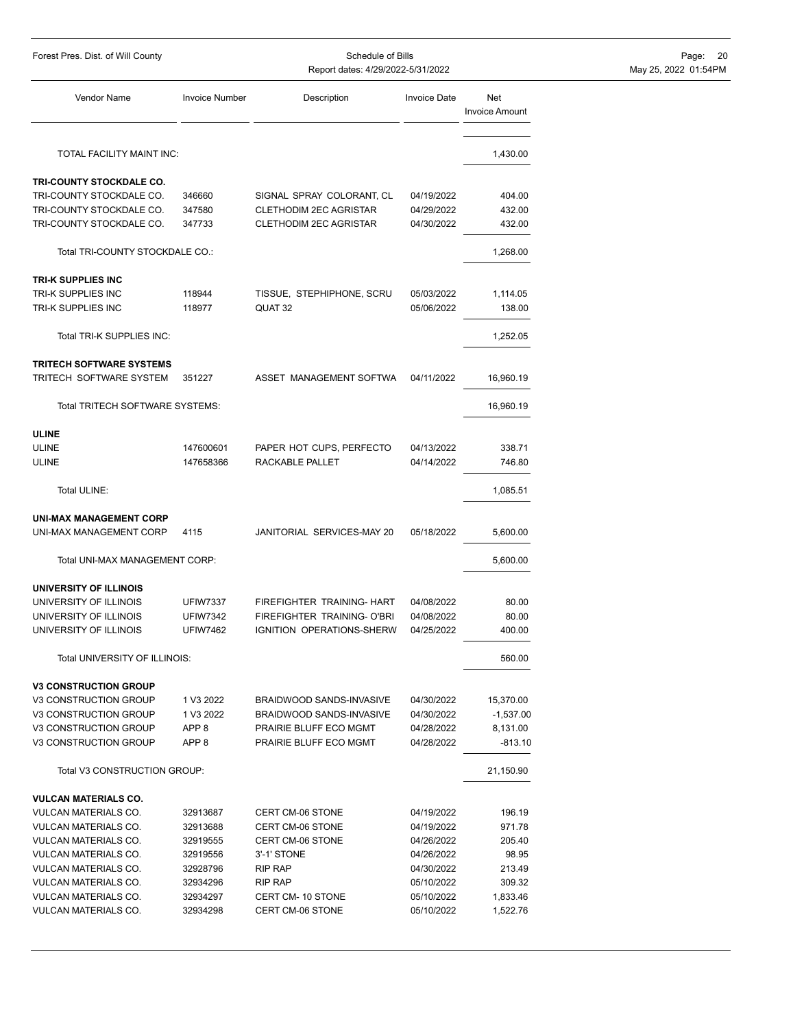| Forest Pres. Dist. of Will County                          |                       | Schedule of Bills<br>Report dates: 4/29/2022-5/31/2022 | Page: 20<br>May 25, 2022 01:54PM |                              |  |
|------------------------------------------------------------|-----------------------|--------------------------------------------------------|----------------------------------|------------------------------|--|
| Vendor Name                                                | <b>Invoice Number</b> | Description                                            | <b>Invoice Date</b>              | Net<br><b>Invoice Amount</b> |  |
| TOTAL FACILITY MAINT INC:                                  |                       |                                                        |                                  | 1,430.00                     |  |
| TRI-COUNTY STOCKDALE CO.                                   |                       |                                                        |                                  |                              |  |
| TRI-COUNTY STOCKDALE CO.                                   | 346660                | SIGNAL SPRAY COLORANT, CL                              | 04/19/2022                       | 404.00                       |  |
| TRI-COUNTY STOCKDALE CO.                                   | 347580                | <b>CLETHODIM 2EC AGRISTAR</b>                          | 04/29/2022                       | 432.00                       |  |
| TRI-COUNTY STOCKDALE CO.                                   | 347733                | <b>CLETHODIM 2EC AGRISTAR</b>                          | 04/30/2022                       | 432.00                       |  |
| Total TRI-COUNTY STOCKDALE CO.:                            |                       |                                                        |                                  | 1,268.00                     |  |
| <b>TRI-K SUPPLIES INC</b>                                  |                       |                                                        |                                  |                              |  |
| TRI-K SUPPLIES INC                                         | 118944                | TISSUE, STEPHIPHONE, SCRU                              | 05/03/2022                       | 1,114.05                     |  |
| TRI-K SUPPLIES INC                                         | 118977                | QUAT 32                                                | 05/06/2022                       | 138.00                       |  |
| Total TRI-K SUPPLIES INC:                                  |                       |                                                        |                                  | 1,252.05                     |  |
|                                                            |                       |                                                        |                                  |                              |  |
| <b>TRITECH SOFTWARE SYSTEMS</b><br>TRITECH SOFTWARE SYSTEM | 351227                | ASSET MANAGEMENT SOFTWA                                | 04/11/2022                       | 16,960.19                    |  |
| Total TRITECH SOFTWARE SYSTEMS:                            |                       |                                                        |                                  | 16,960.19                    |  |
| ULINE                                                      |                       |                                                        |                                  |                              |  |
| <b>ULINE</b>                                               | 147600601             | PAPER HOT CUPS, PERFECTO                               | 04/13/2022                       | 338.71                       |  |
| ULINE                                                      | 147658366             | RACKABLE PALLET                                        | 04/14/2022                       | 746.80                       |  |
| Total ULINE:                                               |                       |                                                        |                                  | 1,085.51                     |  |
| <b>UNI-MAX MANAGEMENT CORP</b>                             |                       |                                                        |                                  |                              |  |
| UNI-MAX MANAGEMENT CORP                                    | 4115                  | JANITORIAL SERVICES-MAY 20                             | 05/18/2022                       | 5,600.00                     |  |
| Total UNI-MAX MANAGEMENT CORP:                             |                       |                                                        |                                  | 5,600.00                     |  |
| UNIVERSITY OF ILLINOIS                                     |                       |                                                        |                                  |                              |  |
| UNIVERSITY OF ILLINOIS                                     | <b>UFIW7337</b>       | FIREFIGHTER TRAINING- HART                             | 04/08/2022                       | 80.00                        |  |
| UNIVERSITY OF ILLINOIS                                     | <b>UFIW7342</b>       | FIREFIGHTER TRAINING- O'BRI                            | 04/08/2022                       | 80.00                        |  |
| UNIVERSITY OF ILLINOIS                                     | <b>UFIW7462</b>       | IGNITION OPERATIONS-SHERW                              | 04/25/2022                       | 400.00                       |  |
| Total UNIVERSITY OF ILLINOIS:                              |                       |                                                        |                                  | 560.00                       |  |
|                                                            |                       |                                                        |                                  |                              |  |
| <b>V3 CONSTRUCTION GROUP</b><br>V3 CONSTRUCTION GROUP      | 1 V3 2022             | BRAIDWOOD SANDS-INVASIVE                               | 04/30/2022                       | 15,370.00                    |  |
| V3 CONSTRUCTION GROUP                                      | 1 V3 2022             | BRAIDWOOD SANDS-INVASIVE                               | 04/30/2022                       | $-1,537.00$                  |  |
| V3 CONSTRUCTION GROUP                                      | APP <sub>8</sub>      | PRAIRIE BLUFF ECO MGMT                                 | 04/28/2022                       | 8,131.00                     |  |
| V3 CONSTRUCTION GROUP                                      | APP <sub>8</sub>      | PRAIRIE BLUFF ECO MGMT                                 | 04/28/2022                       | $-813.10$                    |  |
| Total V3 CONSTRUCTION GROUP:                               |                       |                                                        |                                  | 21,150.90                    |  |
|                                                            |                       |                                                        |                                  |                              |  |
| <b>VULCAN MATERIALS CO.</b><br>VULCAN MATERIALS CO.        |                       | CERT CM-06 STONE                                       |                                  |                              |  |
| VULCAN MATERIALS CO.                                       | 32913687<br>32913688  | CERT CM-06 STONE                                       | 04/19/2022<br>04/19/2022         | 196.19<br>971.78             |  |
| VULCAN MATERIALS CO.                                       | 32919555              | CERT CM-06 STONE                                       | 04/26/2022                       | 205.40                       |  |
| VULCAN MATERIALS CO.                                       | 32919556              | 3'-1' STONE                                            | 04/26/2022                       | 98.95                        |  |
| VULCAN MATERIALS CO.                                       | 32928796              | RIP RAP                                                | 04/30/2022                       | 213.49                       |  |
| VULCAN MATERIALS CO.                                       | 32934296              | RIP RAP                                                | 05/10/2022                       | 309.32                       |  |
| VULCAN MATERIALS CO.                                       | 32934297              | CERT CM-10 STONE                                       | 05/10/2022                       | 1,833.46                     |  |
| VULCAN MATERIALS CO.                                       | 32934298              | CERT CM-06 STONE                                       | 05/10/2022                       | 1,522.76                     |  |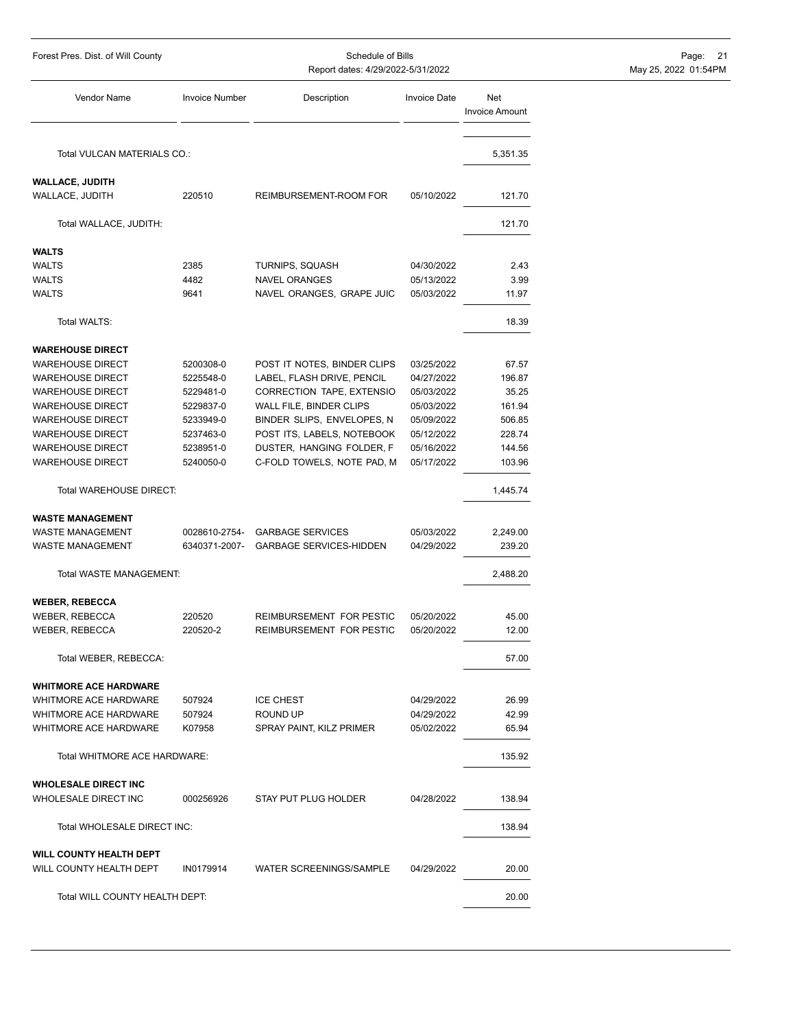| Forest Pres. Dist. of Will County<br>Schedule of Bills<br>Report dates: 4/29/2022-5/31/2022 |                       |                                         |                          | Page: 21<br>May 25, 2022 01:54PM |  |
|---------------------------------------------------------------------------------------------|-----------------------|-----------------------------------------|--------------------------|----------------------------------|--|
| Vendor Name                                                                                 | <b>Invoice Number</b> | Description                             | <b>Invoice Date</b>      | Net<br><b>Invoice Amount</b>     |  |
| Total VULCAN MATERIALS CO.:                                                                 |                       |                                         |                          | 5,351.35                         |  |
| <b>WALLACE, JUDITH</b>                                                                      |                       |                                         |                          |                                  |  |
| WALLACE, JUDITH                                                                             | 220510                | REIMBURSEMENT-ROOM FOR                  | 05/10/2022               | 121.70                           |  |
| Total WALLACE, JUDITH:                                                                      |                       |                                         |                          | 121.70                           |  |
|                                                                                             |                       |                                         |                          |                                  |  |
| <b>WALTS</b>                                                                                | 2385                  |                                         |                          |                                  |  |
| <b>WALTS</b><br><b>WALTS</b>                                                                | 4482                  | TURNIPS, SQUASH<br><b>NAVEL ORANGES</b> | 04/30/2022<br>05/13/2022 | 2.43<br>3.99                     |  |
| <b>WALTS</b>                                                                                | 9641                  | NAVEL ORANGES, GRAPE JUIC               | 05/03/2022               | 11.97                            |  |
|                                                                                             |                       |                                         |                          |                                  |  |
| Total WALTS:                                                                                |                       |                                         |                          | 18.39                            |  |
| <b>WAREHOUSE DIRECT</b>                                                                     |                       |                                         |                          |                                  |  |
| <b>WAREHOUSE DIRECT</b>                                                                     | 5200308-0             | POST IT NOTES, BINDER CLIPS             | 03/25/2022               | 67.57                            |  |
| <b>WAREHOUSE DIRECT</b>                                                                     | 5225548-0             | LABEL, FLASH DRIVE, PENCIL              | 04/27/2022               | 196.87                           |  |
| <b>WAREHOUSE DIRECT</b>                                                                     | 5229481-0             | CORRECTION TAPE, EXTENSIO               | 05/03/2022               | 35.25                            |  |
| <b>WAREHOUSE DIRECT</b>                                                                     | 5229837-0             | WALL FILE, BINDER CLIPS                 | 05/03/2022               | 161.94                           |  |
| <b>WAREHOUSE DIRECT</b>                                                                     | 5233949-0             | BINDER SLIPS, ENVELOPES, N              | 05/09/2022               | 506.85                           |  |
| <b>WAREHOUSE DIRECT</b>                                                                     | 5237463-0             | POST ITS, LABELS, NOTEBOOK              | 05/12/2022               | 228.74                           |  |
| <b>WAREHOUSE DIRECT</b>                                                                     | 5238951-0             | DUSTER, HANGING FOLDER, F               | 05/16/2022               | 144.56                           |  |
| <b>WAREHOUSE DIRECT</b>                                                                     | 5240050-0             | C-FOLD TOWELS, NOTE PAD, M              | 05/17/2022               | 103.96                           |  |
| Total WAREHOUSE DIRECT:                                                                     |                       |                                         |                          | 1,445.74                         |  |
| <b>WASTE MANAGEMENT</b>                                                                     |                       |                                         |                          |                                  |  |
| <b>WASTE MANAGEMENT</b>                                                                     | 0028610-2754-         | <b>GARBAGE SERVICES</b>                 | 05/03/2022               | 2,249.00                         |  |
| <b>WASTE MANAGEMENT</b>                                                                     |                       | 6340371-2007- GARBAGE SERVICES-HIDDEN   | 04/29/2022               | 239.20                           |  |
| Total WASTE MANAGEMENT:                                                                     |                       |                                         |                          | 2,488.20                         |  |
| <b>WEBER, REBECCA</b>                                                                       |                       |                                         |                          |                                  |  |
| <b>WEBER, REBECCA</b>                                                                       | 220520                | REIMBURSEMENT FOR PESTIC                | 05/20/2022               | 45.00                            |  |
| WEBER, REBECCA                                                                              | 220520-2              | REIMBURSEMENT FOR PESTIC                | 05/20/2022               | 12.00                            |  |
| Total WEBER, REBECCA:                                                                       |                       |                                         |                          | 57.00                            |  |
| <b>WHITMORE ACE HARDWARE</b>                                                                |                       |                                         |                          |                                  |  |
| WHITMORE ACE HARDWARE                                                                       | 507924                | <b>ICE CHEST</b>                        | 04/29/2022               | 26.99                            |  |
| <b>WHITMORE ACE HARDWARE</b>                                                                | 507924                | ROUND UP                                | 04/29/2022               | 42.99                            |  |
| WHITMORE ACE HARDWARE                                                                       | K07958                | SPRAY PAINT, KILZ PRIMER                | 05/02/2022               | 65.94                            |  |
| Total WHITMORE ACE HARDWARE:                                                                |                       |                                         |                          | 135.92                           |  |
|                                                                                             |                       |                                         |                          |                                  |  |
| <b>WHOLESALE DIRECT INC</b><br><b>WHOLESALE DIRECT INC</b>                                  | 000256926             | STAY PUT PLUG HOLDER                    | 04/28/2022               | 138.94                           |  |
| Total WHOLESALE DIRECT INC:                                                                 |                       |                                         |                          | 138.94                           |  |
|                                                                                             |                       |                                         |                          |                                  |  |
| <b>WILL COUNTY HEALTH DEPT</b><br>WILL COUNTY HEALTH DEPT                                   | IN0179914             | WATER SCREENINGS/SAMPLE                 | 04/29/2022               | 20.00                            |  |
| Total WILL COUNTY HEALTH DEPT:                                                              |                       |                                         |                          | 20.00                            |  |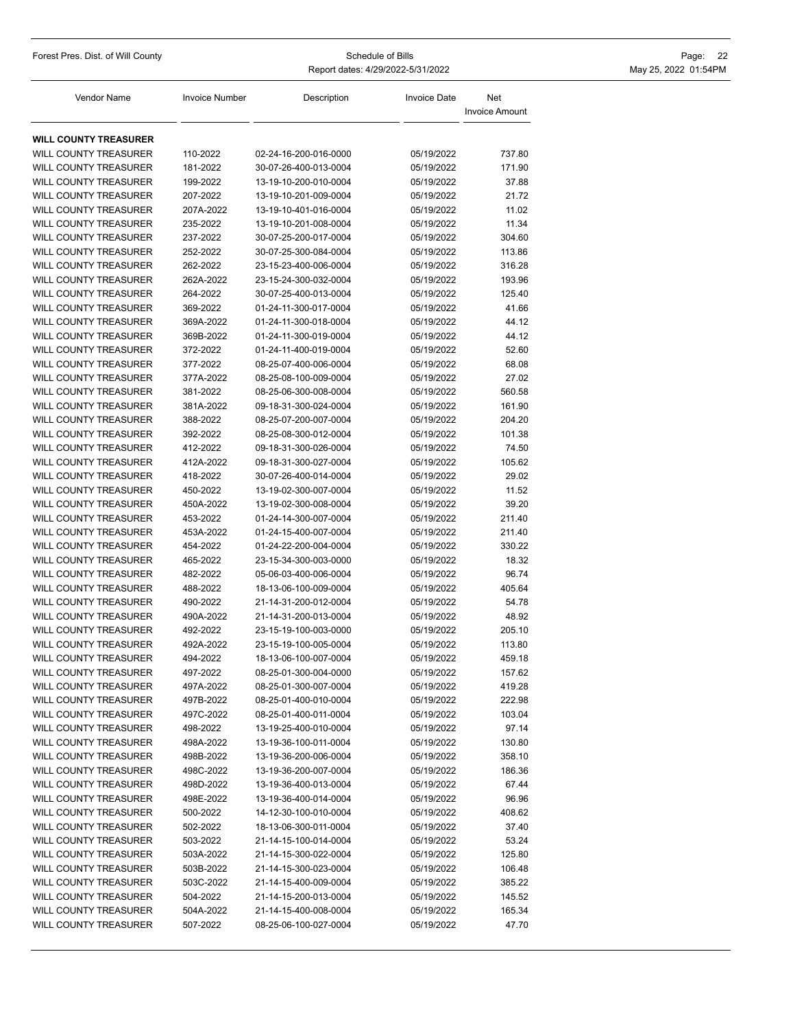| Forest Pres. Dist. of Will County                            | Schedule of Bills<br>Report dates: 4/29/2022-5/31/2022 |                                                |                          |                              | Page:<br>22<br>May 25, 2022 01:54PM |
|--------------------------------------------------------------|--------------------------------------------------------|------------------------------------------------|--------------------------|------------------------------|-------------------------------------|
| Vendor Name                                                  | <b>Invoice Number</b>                                  | Description                                    | <b>Invoice Date</b>      | Net<br><b>Invoice Amount</b> |                                     |
| <b>WILL COUNTY TREASURER</b>                                 |                                                        |                                                |                          |                              |                                     |
| <b>WILL COUNTY TREASURER</b>                                 | 110-2022                                               | 02-24-16-200-016-0000                          | 05/19/2022               | 737.80                       |                                     |
| <b>WILL COUNTY TREASURER</b>                                 | 181-2022                                               | 30-07-26-400-013-0004                          | 05/19/2022               | 171.90                       |                                     |
| <b>WILL COUNTY TREASURER</b>                                 | 199-2022                                               | 13-19-10-200-010-0004                          | 05/19/2022               | 37.88                        |                                     |
| <b>WILL COUNTY TREASURER</b>                                 | 207-2022                                               | 13-19-10-201-009-0004                          | 05/19/2022               | 21.72                        |                                     |
| <b>WILL COUNTY TREASURER</b>                                 | 207A-2022                                              | 13-19-10-401-016-0004                          | 05/19/2022               | 11.02                        |                                     |
| <b>WILL COUNTY TREASURER</b>                                 | 235-2022                                               | 13-19-10-201-008-0004                          | 05/19/2022               | 11.34                        |                                     |
| <b>WILL COUNTY TREASURER</b>                                 | 237-2022                                               | 30-07-25-200-017-0004                          | 05/19/2022               | 304.60                       |                                     |
| <b>WILL COUNTY TREASURER</b>                                 | 252-2022                                               | 30-07-25-300-084-0004                          | 05/19/2022               | 113.86                       |                                     |
| <b>WILL COUNTY TREASURER</b>                                 | 262-2022                                               | 23-15-23-400-006-0004                          | 05/19/2022               | 316.28                       |                                     |
| <b>WILL COUNTY TREASURER</b>                                 | 262A-2022                                              | 23-15-24-300-032-0004                          | 05/19/2022               | 193.96                       |                                     |
| <b>WILL COUNTY TREASURER</b>                                 | 264-2022                                               | 30-07-25-400-013-0004                          | 05/19/2022               | 125.40                       |                                     |
| <b>WILL COUNTY TREASURER</b>                                 | 369-2022                                               | 01-24-11-300-017-0004                          | 05/19/2022               | 41.66                        |                                     |
| <b>WILL COUNTY TREASURER</b>                                 | 369A-2022                                              | 01-24-11-300-018-0004                          | 05/19/2022               | 44.12                        |                                     |
| <b>WILL COUNTY TREASURER</b>                                 | 369B-2022                                              | 01-24-11-300-019-0004                          | 05/19/2022               | 44.12                        |                                     |
| <b>WILL COUNTY TREASURER</b>                                 | 372-2022                                               | 01-24-11-400-019-0004                          | 05/19/2022               | 52.60                        |                                     |
| <b>WILL COUNTY TREASURER</b>                                 | 377-2022                                               | 08-25-07-400-006-0004                          | 05/19/2022               | 68.08                        |                                     |
| <b>WILL COUNTY TREASURER</b>                                 | 377A-2022                                              | 08-25-08-100-009-0004                          | 05/19/2022               | 27.02                        |                                     |
| <b>WILL COUNTY TREASURER</b>                                 | 381-2022                                               | 08-25-06-300-008-0004                          | 05/19/2022               | 560.58                       |                                     |
| <b>WILL COUNTY TREASURER</b>                                 | 381A-2022                                              | 09-18-31-300-024-0004                          | 05/19/2022               | 161.90                       |                                     |
| WILL COUNTY TREASURER                                        | 388-2022                                               | 08-25-07-200-007-0004                          | 05/19/2022               | 204.20                       |                                     |
| WILL COUNTY TREASURER                                        | 392-2022                                               | 08-25-08-300-012-0004                          | 05/19/2022               | 101.38                       |                                     |
| <b>WILL COUNTY TREASURER</b>                                 | 412-2022                                               | 09-18-31-300-026-0004                          | 05/19/2022               | 74.50                        |                                     |
| <b>WILL COUNTY TREASURER</b>                                 | 412A-2022                                              | 09-18-31-300-027-0004                          | 05/19/2022               | 105.62                       |                                     |
| <b>WILL COUNTY TREASURER</b>                                 | 418-2022                                               | 30-07-26-400-014-0004                          | 05/19/2022               | 29.02                        |                                     |
| <b>WILL COUNTY TREASURER</b>                                 | 450-2022                                               | 13-19-02-300-007-0004                          | 05/19/2022               | 11.52                        |                                     |
| <b>WILL COUNTY TREASURER</b>                                 | 450A-2022                                              | 13-19-02-300-008-0004                          | 05/19/2022               | 39.20                        |                                     |
| <b>WILL COUNTY TREASURER</b><br><b>WILL COUNTY TREASURER</b> | 453-2022<br>453A-2022                                  | 01-24-14-300-007-0004<br>01-24-15-400-007-0004 | 05/19/2022<br>05/19/2022 | 211.40<br>211.40             |                                     |
| <b>WILL COUNTY TREASURER</b>                                 | 454-2022                                               | 01-24-22-200-004-0004                          | 05/19/2022               | 330.22                       |                                     |
| WILL COUNTY TREASURER                                        | 465-2022                                               | 23-15-34-300-003-0000                          | 05/19/2022               | 18.32                        |                                     |
| <b>WILL COUNTY TREASURER</b>                                 | 482-2022                                               | 05-06-03-400-006-0004                          | 05/19/2022               | 96.74                        |                                     |
| <b>WILL COUNTY TREASURER</b>                                 | 488-2022                                               | 18-13-06-100-009-0004                          | 05/19/2022               | 405.64                       |                                     |
| WILL COUNTY TREASURER                                        | 490-2022                                               | 21-14-31-200-012-0004                          | 05/19/2022               | 54.78                        |                                     |
| WILL COUNTY TREASURER                                        | 490A-2022                                              | 21-14-31-200-013-0004                          | 05/19/2022               | 48.92                        |                                     |
| <b>WILL COUNTY TREASURER</b>                                 | 492-2022                                               | 23-15-19-100-003-0000                          | 05/19/2022               | 205.10                       |                                     |
| WILL COUNTY TREASURER                                        | 492A-2022                                              | 23-15-19-100-005-0004                          | 05/19/2022               | 113.80                       |                                     |
| <b>WILL COUNTY TREASURER</b>                                 | 494-2022                                               | 18-13-06-100-007-0004                          | 05/19/2022               | 459.18                       |                                     |
| <b>WILL COUNTY TREASURER</b>                                 | 497-2022                                               | 08-25-01-300-004-0000                          | 05/19/2022               | 157.62                       |                                     |
| <b>WILL COUNTY TREASURER</b>                                 | 497A-2022                                              | 08-25-01-300-007-0004                          | 05/19/2022               | 419.28                       |                                     |
| <b>WILL COUNTY TREASURER</b>                                 | 497B-2022                                              | 08-25-01-400-010-0004                          | 05/19/2022               | 222.98                       |                                     |
| WILL COUNTY TREASURER                                        | 497C-2022                                              | 08-25-01-400-011-0004                          | 05/19/2022               | 103.04                       |                                     |
| WILL COUNTY TREASURER                                        | 498-2022                                               | 13-19-25-400-010-0004                          | 05/19/2022               | 97.14                        |                                     |
| <b>WILL COUNTY TREASURER</b>                                 | 498A-2022                                              | 13-19-36-100-011-0004                          | 05/19/2022               | 130.80                       |                                     |
| <b>WILL COUNTY TREASURER</b>                                 | 498B-2022                                              | 13-19-36-200-006-0004                          | 05/19/2022               | 358.10                       |                                     |
| WILL COUNTY TREASURER                                        | 498C-2022                                              | 13-19-36-200-007-0004                          | 05/19/2022               | 186.36                       |                                     |
| WILL COUNTY TREASURER                                        | 498D-2022                                              | 13-19-36-400-013-0004                          | 05/19/2022               | 67.44                        |                                     |
| <b>WILL COUNTY TREASURER</b>                                 | 498E-2022                                              | 13-19-36-400-014-0004                          | 05/19/2022               | 96.96                        |                                     |
| <b>WILL COUNTY TREASURER</b>                                 | 500-2022                                               | 14-12-30-100-010-0004                          | 05/19/2022               | 408.62                       |                                     |
| <b>WILL COUNTY TREASURER</b>                                 | 502-2022                                               | 18-13-06-300-011-0004                          | 05/19/2022               | 37.40                        |                                     |
| <b>WILL COUNTY TREASURER</b>                                 | 503-2022                                               | 21-14-15-100-014-0004                          | 05/19/2022               | 53.24                        |                                     |
| <b>WILL COUNTY TREASURER</b>                                 | 503A-2022                                              | 21-14-15-300-022-0004                          | 05/19/2022               | 125.80                       |                                     |
| WILL COUNTY TREASURER                                        | 503B-2022                                              | 21-14-15-300-023-0004                          | 05/19/2022               | 106.48                       |                                     |
| <b>WILL COUNTY TREASURER</b>                                 | 503C-2022                                              | 21-14-15-400-009-0004                          | 05/19/2022               | 385.22                       |                                     |
| <b>WILL COUNTY TREASURER</b>                                 | 504-2022                                               | 21-14-15-200-013-0004                          | 05/19/2022               | 145.52                       |                                     |
| WILL COUNTY TREASURER                                        | 504A-2022                                              | 21-14-15-400-008-0004                          | 05/19/2022               | 165.34                       |                                     |
| <b>WILL COUNTY TREASURER</b>                                 | 507-2022                                               | 08-25-06-100-027-0004                          | 05/19/2022               | 47.70                        |                                     |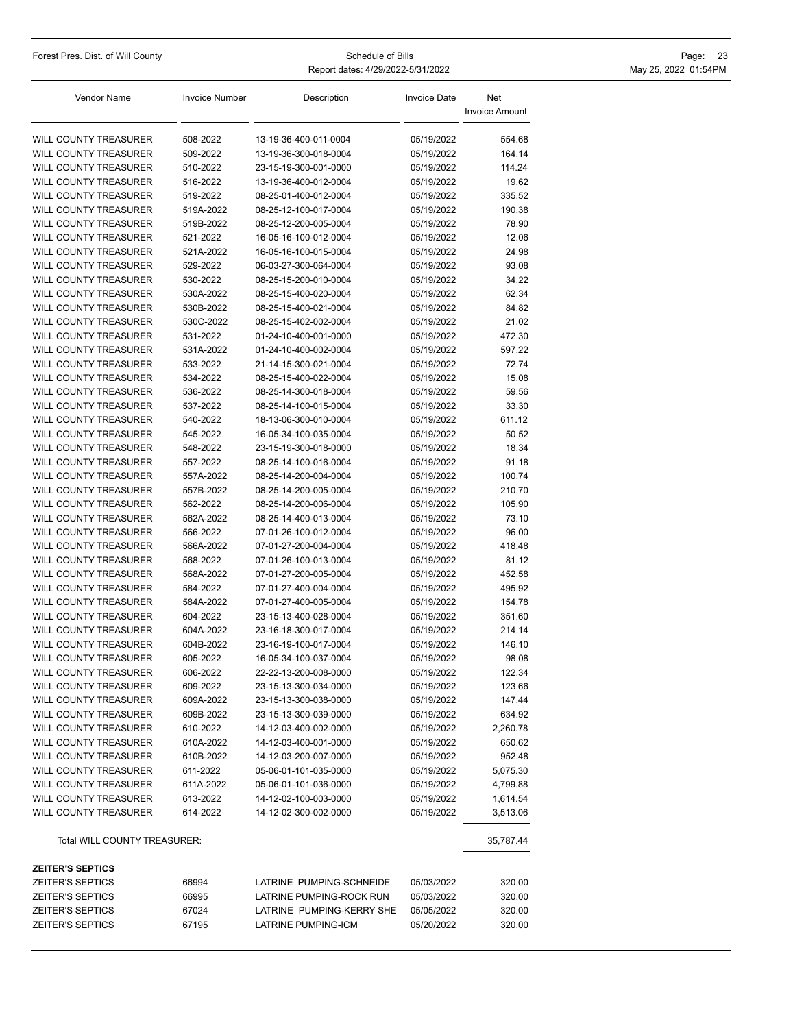| Forest Pres. Dist. of Will County                     | Schedule of Bills     |                                                |                          | Page: 23                     |  |
|-------------------------------------------------------|-----------------------|------------------------------------------------|--------------------------|------------------------------|--|
|                                                       |                       | Report dates: 4/29/2022-5/31/2022              | May 25, 2022 01:54PM     |                              |  |
| Vendor Name                                           | <b>Invoice Number</b> | Description                                    | <b>Invoice Date</b>      | Net<br><b>Invoice Amount</b> |  |
| <b>WILL COUNTY TREASURER</b>                          | 508-2022              | 13-19-36-400-011-0004                          | 05/19/2022               | 554.68                       |  |
| <b>WILL COUNTY TREASURER</b>                          | 509-2022              | 13-19-36-300-018-0004                          | 05/19/2022               | 164.14                       |  |
| WILL COUNTY TREASURER                                 | 510-2022              | 23-15-19-300-001-0000                          | 05/19/2022               | 114.24                       |  |
| WILL COUNTY TREASURER                                 | 516-2022              | 13-19-36-400-012-0004                          | 05/19/2022               | 19.62                        |  |
| <b>WILL COUNTY TREASURER</b>                          | 519-2022              | 08-25-01-400-012-0004                          | 05/19/2022               | 335.52                       |  |
| WILL COUNTY TREASURER                                 | 519A-2022             | 08-25-12-100-017-0004                          | 05/19/2022               | 190.38                       |  |
| <b>WILL COUNTY TREASURER</b>                          | 519B-2022             | 08-25-12-200-005-0004                          | 05/19/2022               | 78.90                        |  |
| <b>WILL COUNTY TREASURER</b>                          | 521-2022              | 16-05-16-100-012-0004                          | 05/19/2022               | 12.06                        |  |
| WILL COUNTY TREASURER                                 | 521A-2022             | 16-05-16-100-015-0004                          | 05/19/2022               | 24.98                        |  |
| WILL COUNTY TREASURER                                 | 529-2022              | 06-03-27-300-064-0004                          | 05/19/2022               | 93.08                        |  |
| WILL COUNTY TREASURER                                 | 530-2022              | 08-25-15-200-010-0004                          | 05/19/2022               | 34.22                        |  |
| <b>WILL COUNTY TREASURER</b>                          | 530A-2022             | 08-25-15-400-020-0004                          | 05/19/2022               | 62.34                        |  |
| <b>WILL COUNTY TREASURER</b>                          | 530B-2022             | 08-25-15-400-021-0004                          | 05/19/2022               | 84.82                        |  |
| WILL COUNTY TREASURER                                 | 530C-2022             | 08-25-15-402-002-0004                          | 05/19/2022               | 21.02                        |  |
| WILL COUNTY TREASURER                                 | 531-2022              | 01-24-10-400-001-0000                          | 05/19/2022               | 472.30                       |  |
| WILL COUNTY TREASURER                                 | 531A-2022             | 01-24-10-400-002-0004                          | 05/19/2022               | 597.22                       |  |
| <b>WILL COUNTY TREASURER</b>                          | 533-2022              | 21-14-15-300-021-0004                          | 05/19/2022               | 72.74                        |  |
| <b>WILL COUNTY TREASURER</b>                          | 534-2022              | 08-25-15-400-022-0004                          | 05/19/2022               | 15.08                        |  |
| WILL COUNTY TREASURER                                 | 536-2022              | 08-25-14-300-018-0004                          | 05/19/2022               | 59.56                        |  |
|                                                       | 537-2022              |                                                |                          |                              |  |
| WILL COUNTY TREASURER<br><b>WILL COUNTY TREASURER</b> | 540-2022              | 08-25-14-100-015-0004<br>18-13-06-300-010-0004 | 05/19/2022<br>05/19/2022 | 33.30<br>611.12              |  |
| WILL COUNTY TREASURER                                 | 545-2022              | 16-05-34-100-035-0004                          | 05/19/2022               | 50.52                        |  |
| <b>WILL COUNTY TREASURER</b>                          |                       | 23-15-19-300-018-0000                          |                          | 18.34                        |  |
|                                                       | 548-2022              |                                                | 05/19/2022               |                              |  |
| WILL COUNTY TREASURER                                 | 557-2022              | 08-25-14-100-016-0004                          | 05/19/2022               | 91.18                        |  |
| <b>WILL COUNTY TREASURER</b>                          | 557A-2022             | 08-25-14-200-004-0004                          | 05/19/2022               | 100.74                       |  |
| WILL COUNTY TREASURER                                 | 557B-2022             | 08-25-14-200-005-0004                          | 05/19/2022               | 210.70                       |  |
| WILL COUNTY TREASURER                                 | 562-2022              | 08-25-14-200-006-0004                          | 05/19/2022               | 105.90                       |  |
| <b>WILL COUNTY TREASURER</b>                          | 562A-2022             | 08-25-14-400-013-0004                          | 05/19/2022               | 73.10                        |  |
| WILL COUNTY TREASURER                                 | 566-2022              | 07-01-26-100-012-0004                          | 05/19/2022               | 96.00                        |  |
| WILL COUNTY TREASURER                                 | 566A-2022             | 07-01-27-200-004-0004                          | 05/19/2022               | 418.48                       |  |
| WILL COUNTY TREASURER                                 | 568-2022              | 07-01-26-100-013-0004                          | 05/19/2022               | 81.12                        |  |
| WILL COUNTY TREASURER                                 | 568A-2022             | 07-01-27-200-005-0004                          | 05/19/2022               | 452.58                       |  |
| WILL COUNTY TREASURER                                 | 584-2022              | 07-01-27-400-004-0004                          | 05/19/2022               | 495.92                       |  |
| WILL COUNTY TREASURER                                 | 584A-2022             | 07-01-27-400-005-0004                          | 05/19/2022               | 154.78                       |  |
| <b>WILL COUNTY TREASURER</b>                          | 604-2022              | 23-15-13-400-028-0004                          | 05/19/2022               | 351.60                       |  |
| WILL COUNTY TREASURER                                 | 604A-2022             | 23-16-18-300-017-0004                          | 05/19/2022               | 214.14                       |  |
| <b>WILL COUNTY TREASURER</b>                          | 604B-2022             | 23-16-19-100-017-0004                          | 05/19/2022               | 146.10                       |  |
| WILL COUNTY TREASURER                                 | 605-2022              | 16-05-34-100-037-0004                          | 05/19/2022               | 98.08                        |  |
| <b>WILL COUNTY TREASURER</b>                          | 606-2022              | 22-22-13-200-008-0000                          | 05/19/2022               | 122.34                       |  |
| <b>WILL COUNTY TREASURER</b>                          | 609-2022              | 23-15-13-300-034-0000                          | 05/19/2022               | 123.66                       |  |
| <b>WILL COUNTY TREASURER</b>                          | 609A-2022             | 23-15-13-300-038-0000                          | 05/19/2022               | 147.44                       |  |
| <b>WILL COUNTY TREASURER</b>                          | 609B-2022             | 23-15-13-300-039-0000                          | 05/19/2022               | 634.92                       |  |
| <b>WILL COUNTY TREASURER</b>                          | 610-2022              | 14-12-03-400-002-0000                          | 05/19/2022               | 2,260.78                     |  |
| <b>WILL COUNTY TREASURER</b>                          | 610A-2022             | 14-12-03-400-001-0000                          | 05/19/2022               | 650.62                       |  |
| <b>WILL COUNTY TREASURER</b>                          | 610B-2022             | 14-12-03-200-007-0000                          | 05/19/2022               | 952.48                       |  |
| <b>WILL COUNTY TREASURER</b>                          | 611-2022              | 05-06-01-101-035-0000                          | 05/19/2022               | 5,075.30                     |  |
| <b>WILL COUNTY TREASURER</b>                          | 611A-2022             | 05-06-01-101-036-0000                          | 05/19/2022               | 4,799.88                     |  |
| <b>WILL COUNTY TREASURER</b>                          | 613-2022              | 14-12-02-100-003-0000                          | 05/19/2022               | 1,614.54                     |  |
| WILL COUNTY TREASURER                                 | 614-2022              | 14-12-02-300-002-0000                          | 05/19/2022               | 3,513.06                     |  |
| Total WILL COUNTY TREASURER:                          |                       |                                                |                          | 35,787.44                    |  |
| <b>ZEITER'S SEPTICS</b>                               |                       |                                                |                          |                              |  |
| <b>ZEITER'S SEPTICS</b>                               | 66994                 | LATRINE PUMPING-SCHNEIDE                       | 05/03/2022               | 320.00                       |  |
| <b>ZEITER'S SEPTICS</b>                               | 66995                 | LATRINE PUMPING-ROCK RUN                       | 05/03/2022               | 320.00                       |  |
| <b>ZEITER'S SEPTICS</b>                               | 67024                 | LATRINE PUMPING-KERRY SHE                      | 05/05/2022               | 320.00                       |  |
| <b>ZEITER'S SEPTICS</b>                               | 67195                 | LATRINE PUMPING-ICM                            | 05/20/2022               | 320.00                       |  |